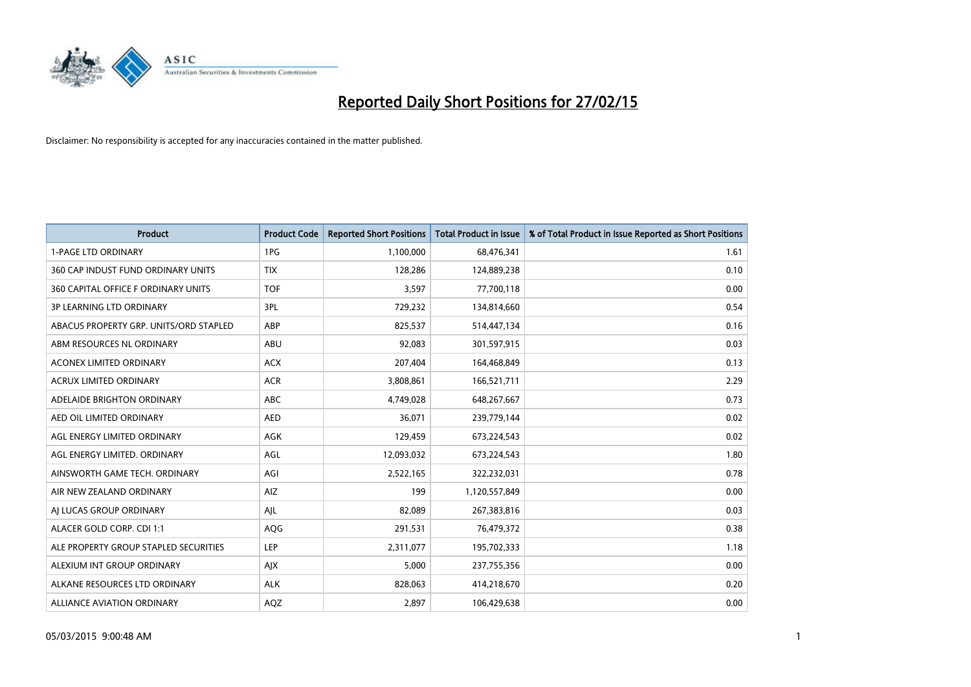

| <b>Product</b>                         | <b>Product Code</b> | <b>Reported Short Positions</b> | <b>Total Product in Issue</b> | % of Total Product in Issue Reported as Short Positions |
|----------------------------------------|---------------------|---------------------------------|-------------------------------|---------------------------------------------------------|
| <b>1-PAGE LTD ORDINARY</b>             | 1PG                 | 1,100,000                       | 68,476,341                    | 1.61                                                    |
| 360 CAP INDUST FUND ORDINARY UNITS     | <b>TIX</b>          | 128,286                         | 124,889,238                   | 0.10                                                    |
| 360 CAPITAL OFFICE F ORDINARY UNITS    | <b>TOF</b>          | 3,597                           | 77,700,118                    | 0.00                                                    |
| <b>3P LEARNING LTD ORDINARY</b>        | 3PL                 | 729,232                         | 134,814,660                   | 0.54                                                    |
| ABACUS PROPERTY GRP. UNITS/ORD STAPLED | ABP                 | 825,537                         | 514,447,134                   | 0.16                                                    |
| ABM RESOURCES NL ORDINARY              | ABU                 | 92,083                          | 301,597,915                   | 0.03                                                    |
| <b>ACONEX LIMITED ORDINARY</b>         | <b>ACX</b>          | 207,404                         | 164,468,849                   | 0.13                                                    |
| ACRUX LIMITED ORDINARY                 | <b>ACR</b>          | 3,808,861                       | 166,521,711                   | 2.29                                                    |
| ADELAIDE BRIGHTON ORDINARY             | <b>ABC</b>          | 4,749,028                       | 648,267,667                   | 0.73                                                    |
| AED OIL LIMITED ORDINARY               | AED                 | 36,071                          | 239,779,144                   | 0.02                                                    |
| AGL ENERGY LIMITED ORDINARY            | AGK                 | 129,459                         | 673,224,543                   | 0.02                                                    |
| AGL ENERGY LIMITED. ORDINARY           | AGL                 | 12,093,032                      | 673,224,543                   | 1.80                                                    |
| AINSWORTH GAME TECH. ORDINARY          | AGI                 | 2,522,165                       | 322,232,031                   | 0.78                                                    |
| AIR NEW ZEALAND ORDINARY               | AIZ                 | 199                             | 1,120,557,849                 | 0.00                                                    |
| AI LUCAS GROUP ORDINARY                | AJL                 | 82,089                          | 267,383,816                   | 0.03                                                    |
| ALACER GOLD CORP. CDI 1:1              | AQG                 | 291,531                         | 76,479,372                    | 0.38                                                    |
| ALE PROPERTY GROUP STAPLED SECURITIES  | LEP                 | 2,311,077                       | 195,702,333                   | 1.18                                                    |
| ALEXIUM INT GROUP ORDINARY             | AJX                 | 5,000                           | 237,755,356                   | 0.00                                                    |
| ALKANE RESOURCES LTD ORDINARY          | <b>ALK</b>          | 828,063                         | 414,218,670                   | 0.20                                                    |
| ALLIANCE AVIATION ORDINARY             | AQZ                 | 2,897                           | 106,429,638                   | 0.00                                                    |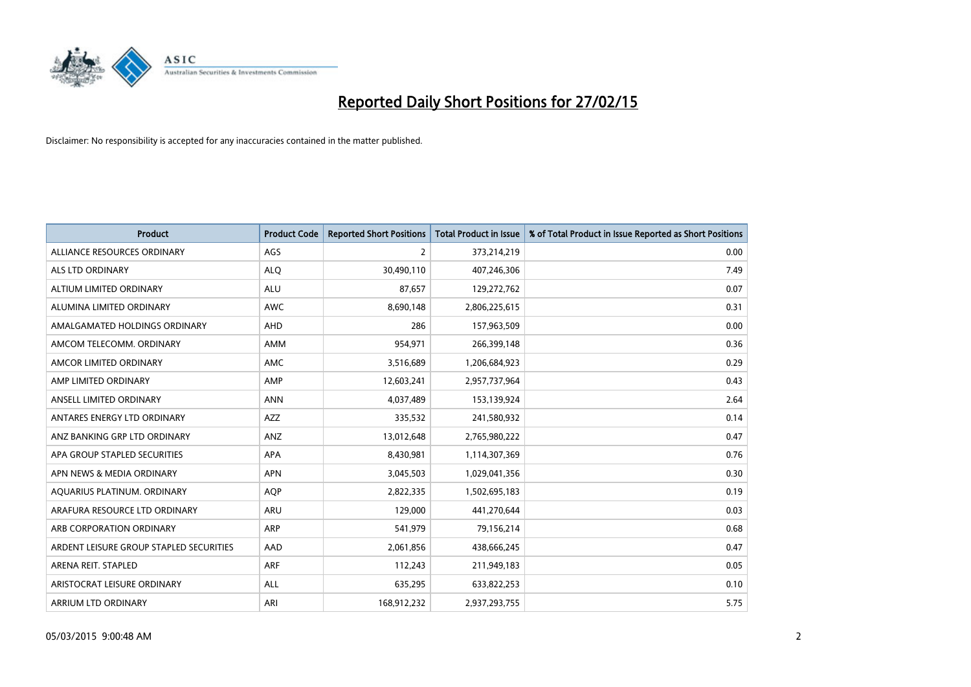

| <b>Product</b>                          | <b>Product Code</b> | <b>Reported Short Positions</b> | <b>Total Product in Issue</b> | % of Total Product in Issue Reported as Short Positions |
|-----------------------------------------|---------------------|---------------------------------|-------------------------------|---------------------------------------------------------|
| ALLIANCE RESOURCES ORDINARY             | AGS                 | 2                               | 373,214,219                   | 0.00                                                    |
| ALS LTD ORDINARY                        | <b>ALQ</b>          | 30,490,110                      | 407,246,306                   | 7.49                                                    |
| ALTIUM LIMITED ORDINARY                 | <b>ALU</b>          | 87,657                          | 129,272,762                   | 0.07                                                    |
| ALUMINA LIMITED ORDINARY                | <b>AWC</b>          | 8,690,148                       | 2,806,225,615                 | 0.31                                                    |
| AMALGAMATED HOLDINGS ORDINARY           | AHD                 | 286                             | 157,963,509                   | 0.00                                                    |
| AMCOM TELECOMM, ORDINARY                | AMM                 | 954,971                         | 266,399,148                   | 0.36                                                    |
| AMCOR LIMITED ORDINARY                  | AMC                 | 3,516,689                       | 1,206,684,923                 | 0.29                                                    |
| AMP LIMITED ORDINARY                    | AMP                 | 12,603,241                      | 2,957,737,964                 | 0.43                                                    |
| ANSELL LIMITED ORDINARY                 | <b>ANN</b>          | 4,037,489                       | 153,139,924                   | 2.64                                                    |
| ANTARES ENERGY LTD ORDINARY             | AZZ                 | 335,532                         | 241,580,932                   | 0.14                                                    |
| ANZ BANKING GRP LTD ORDINARY            | ANZ                 | 13,012,648                      | 2,765,980,222                 | 0.47                                                    |
| APA GROUP STAPLED SECURITIES            | <b>APA</b>          | 8,430,981                       | 1,114,307,369                 | 0.76                                                    |
| APN NEWS & MEDIA ORDINARY               | <b>APN</b>          | 3,045,503                       | 1,029,041,356                 | 0.30                                                    |
| AQUARIUS PLATINUM. ORDINARY             | <b>AOP</b>          | 2,822,335                       | 1,502,695,183                 | 0.19                                                    |
| ARAFURA RESOURCE LTD ORDINARY           | ARU                 | 129,000                         | 441,270,644                   | 0.03                                                    |
| ARB CORPORATION ORDINARY                | <b>ARP</b>          | 541,979                         | 79,156,214                    | 0.68                                                    |
| ARDENT LEISURE GROUP STAPLED SECURITIES | AAD                 | 2,061,856                       | 438,666,245                   | 0.47                                                    |
| ARENA REIT. STAPLED                     | <b>ARF</b>          | 112,243                         | 211,949,183                   | 0.05                                                    |
| ARISTOCRAT LEISURE ORDINARY             | ALL                 | 635,295                         | 633,822,253                   | 0.10                                                    |
| ARRIUM LTD ORDINARY                     | ARI                 | 168,912,232                     | 2,937,293,755                 | 5.75                                                    |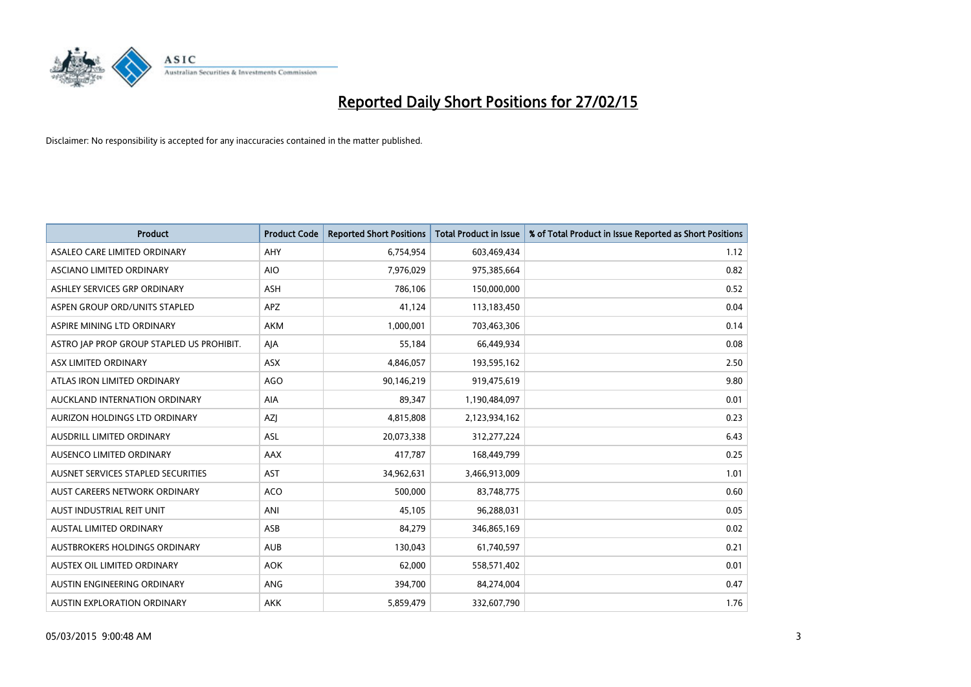

| <b>Product</b>                            | <b>Product Code</b> | <b>Reported Short Positions</b> | <b>Total Product in Issue</b> | % of Total Product in Issue Reported as Short Positions |
|-------------------------------------------|---------------------|---------------------------------|-------------------------------|---------------------------------------------------------|
| ASALEO CARE LIMITED ORDINARY              | AHY                 | 6,754,954                       | 603,469,434                   | 1.12                                                    |
| ASCIANO LIMITED ORDINARY                  | <b>AIO</b>          | 7,976,029                       | 975,385,664                   | 0.82                                                    |
| ASHLEY SERVICES GRP ORDINARY              | ASH                 | 786,106                         | 150,000,000                   | 0.52                                                    |
| ASPEN GROUP ORD/UNITS STAPLED             | <b>APZ</b>          | 41,124                          | 113,183,450                   | 0.04                                                    |
| ASPIRE MINING LTD ORDINARY                | <b>AKM</b>          | 1,000,001                       | 703,463,306                   | 0.14                                                    |
| ASTRO JAP PROP GROUP STAPLED US PROHIBIT. | AJA                 | 55,184                          | 66,449,934                    | 0.08                                                    |
| ASX LIMITED ORDINARY                      | ASX                 | 4,846,057                       | 193,595,162                   | 2.50                                                    |
| ATLAS IRON LIMITED ORDINARY               | <b>AGO</b>          | 90,146,219                      | 919,475,619                   | 9.80                                                    |
| AUCKLAND INTERNATION ORDINARY             | <b>AIA</b>          | 89.347                          | 1,190,484,097                 | 0.01                                                    |
| AURIZON HOLDINGS LTD ORDINARY             | AZJ                 | 4,815,808                       | 2,123,934,162                 | 0.23                                                    |
| AUSDRILL LIMITED ORDINARY                 | ASL                 | 20,073,338                      | 312,277,224                   | 6.43                                                    |
| AUSENCO LIMITED ORDINARY                  | AAX                 | 417,787                         | 168,449,799                   | 0.25                                                    |
| AUSNET SERVICES STAPLED SECURITIES        | <b>AST</b>          | 34,962,631                      | 3,466,913,009                 | 1.01                                                    |
| AUST CAREERS NETWORK ORDINARY             | <b>ACO</b>          | 500,000                         | 83,748,775                    | 0.60                                                    |
| AUST INDUSTRIAL REIT UNIT                 | ANI                 | 45,105                          | 96,288,031                    | 0.05                                                    |
| AUSTAL LIMITED ORDINARY                   | ASB                 | 84,279                          | 346,865,169                   | 0.02                                                    |
| AUSTBROKERS HOLDINGS ORDINARY             | <b>AUB</b>          | 130,043                         | 61,740,597                    | 0.21                                                    |
| AUSTEX OIL LIMITED ORDINARY               | <b>AOK</b>          | 62,000                          | 558,571,402                   | 0.01                                                    |
| AUSTIN ENGINEERING ORDINARY               | ANG                 | 394,700                         | 84,274,004                    | 0.47                                                    |
| AUSTIN EXPLORATION ORDINARY               | <b>AKK</b>          | 5,859,479                       | 332,607,790                   | 1.76                                                    |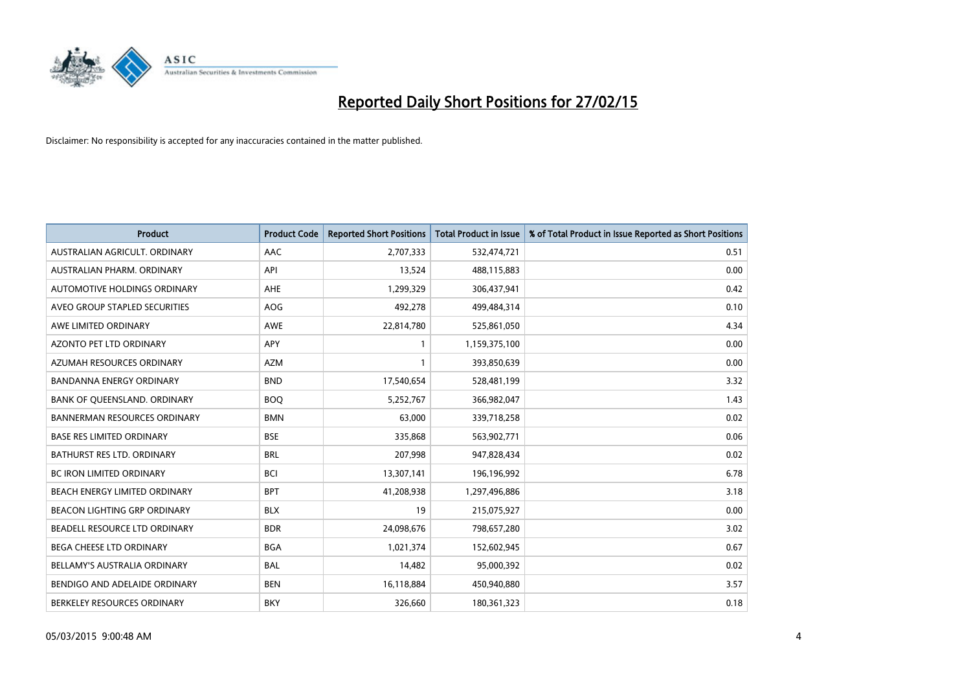

| <b>Product</b>                      | <b>Product Code</b> | <b>Reported Short Positions</b> | <b>Total Product in Issue</b> | % of Total Product in Issue Reported as Short Positions |
|-------------------------------------|---------------------|---------------------------------|-------------------------------|---------------------------------------------------------|
| AUSTRALIAN AGRICULT, ORDINARY       | AAC                 | 2,707,333                       | 532,474,721                   | 0.51                                                    |
| AUSTRALIAN PHARM. ORDINARY          | API                 | 13,524                          | 488,115,883                   | 0.00                                                    |
| AUTOMOTIVE HOLDINGS ORDINARY        | AHE                 | 1,299,329                       | 306,437,941                   | 0.42                                                    |
| AVEO GROUP STAPLED SECURITIES       | AOG                 | 492,278                         | 499,484,314                   | 0.10                                                    |
| AWE LIMITED ORDINARY                | <b>AWE</b>          | 22,814,780                      | 525,861,050                   | 4.34                                                    |
| <b>AZONTO PET LTD ORDINARY</b>      | <b>APY</b>          | 1                               | 1,159,375,100                 | 0.00                                                    |
| AZUMAH RESOURCES ORDINARY           | <b>AZM</b>          | $\mathbf{1}$                    | 393,850,639                   | 0.00                                                    |
| BANDANNA ENERGY ORDINARY            | <b>BND</b>          | 17,540,654                      | 528,481,199                   | 3.32                                                    |
| BANK OF QUEENSLAND. ORDINARY        | <b>BOQ</b>          | 5,252,767                       | 366,982,047                   | 1.43                                                    |
| <b>BANNERMAN RESOURCES ORDINARY</b> | <b>BMN</b>          | 63,000                          | 339,718,258                   | 0.02                                                    |
| <b>BASE RES LIMITED ORDINARY</b>    | <b>BSE</b>          | 335,868                         | 563,902,771                   | 0.06                                                    |
| <b>BATHURST RES LTD. ORDINARY</b>   | <b>BRL</b>          | 207,998                         | 947,828,434                   | 0.02                                                    |
| <b>BC IRON LIMITED ORDINARY</b>     | <b>BCI</b>          | 13,307,141                      | 196,196,992                   | 6.78                                                    |
| BEACH ENERGY LIMITED ORDINARY       | <b>BPT</b>          | 41,208,938                      | 1,297,496,886                 | 3.18                                                    |
| <b>BEACON LIGHTING GRP ORDINARY</b> | <b>BLX</b>          | 19                              | 215,075,927                   | 0.00                                                    |
| BEADELL RESOURCE LTD ORDINARY       | <b>BDR</b>          | 24,098,676                      | 798,657,280                   | 3.02                                                    |
| BEGA CHEESE LTD ORDINARY            | <b>BGA</b>          | 1,021,374                       | 152,602,945                   | 0.67                                                    |
| BELLAMY'S AUSTRALIA ORDINARY        | <b>BAL</b>          | 14,482                          | 95,000,392                    | 0.02                                                    |
| BENDIGO AND ADELAIDE ORDINARY       | <b>BEN</b>          | 16,118,884                      | 450,940,880                   | 3.57                                                    |
| BERKELEY RESOURCES ORDINARY         | <b>BKY</b>          | 326,660                         | 180,361,323                   | 0.18                                                    |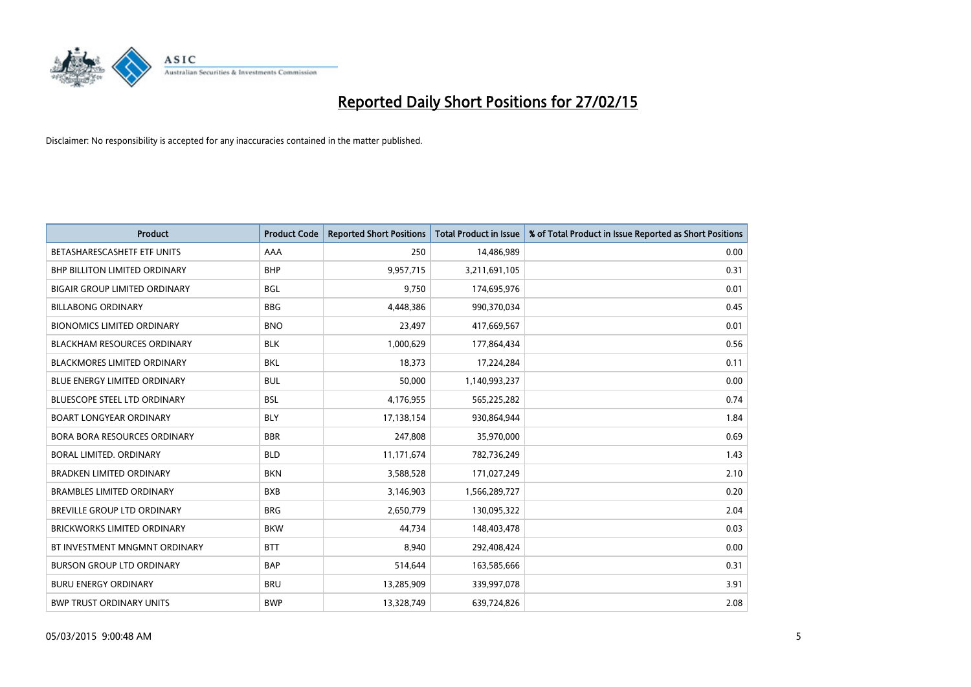

| <b>Product</b>                       | <b>Product Code</b> | <b>Reported Short Positions</b> | <b>Total Product in Issue</b> | % of Total Product in Issue Reported as Short Positions |
|--------------------------------------|---------------------|---------------------------------|-------------------------------|---------------------------------------------------------|
| BETASHARESCASHETF ETF UNITS          | AAA                 | 250                             | 14,486,989                    | 0.00                                                    |
| <b>BHP BILLITON LIMITED ORDINARY</b> | <b>BHP</b>          | 9,957,715                       | 3,211,691,105                 | 0.31                                                    |
| <b>BIGAIR GROUP LIMITED ORDINARY</b> | <b>BGL</b>          | 9,750                           | 174,695,976                   | 0.01                                                    |
| <b>BILLABONG ORDINARY</b>            | <b>BBG</b>          | 4,448,386                       | 990,370,034                   | 0.45                                                    |
| <b>BIONOMICS LIMITED ORDINARY</b>    | <b>BNO</b>          | 23,497                          | 417,669,567                   | 0.01                                                    |
| <b>BLACKHAM RESOURCES ORDINARY</b>   | <b>BLK</b>          | 1,000,629                       | 177,864,434                   | 0.56                                                    |
| <b>BLACKMORES LIMITED ORDINARY</b>   | <b>BKL</b>          | 18,373                          | 17,224,284                    | 0.11                                                    |
| BLUE ENERGY LIMITED ORDINARY         | <b>BUL</b>          | 50,000                          | 1,140,993,237                 | 0.00                                                    |
| <b>BLUESCOPE STEEL LTD ORDINARY</b>  | <b>BSL</b>          | 4,176,955                       | 565,225,282                   | 0.74                                                    |
| <b>BOART LONGYEAR ORDINARY</b>       | <b>BLY</b>          | 17,138,154                      | 930,864,944                   | 1.84                                                    |
| <b>BORA BORA RESOURCES ORDINARY</b>  | <b>BBR</b>          | 247,808                         | 35,970,000                    | 0.69                                                    |
| BORAL LIMITED, ORDINARY              | <b>BLD</b>          | 11,171,674                      | 782,736,249                   | 1.43                                                    |
| <b>BRADKEN LIMITED ORDINARY</b>      | <b>BKN</b>          | 3,588,528                       | 171,027,249                   | 2.10                                                    |
| <b>BRAMBLES LIMITED ORDINARY</b>     | <b>BXB</b>          | 3,146,903                       | 1,566,289,727                 | 0.20                                                    |
| <b>BREVILLE GROUP LTD ORDINARY</b>   | <b>BRG</b>          | 2,650,779                       | 130,095,322                   | 2.04                                                    |
| <b>BRICKWORKS LIMITED ORDINARY</b>   | <b>BKW</b>          | 44,734                          | 148,403,478                   | 0.03                                                    |
| BT INVESTMENT MNGMNT ORDINARY        | <b>BTT</b>          | 8,940                           | 292,408,424                   | 0.00                                                    |
| <b>BURSON GROUP LTD ORDINARY</b>     | <b>BAP</b>          | 514,644                         | 163,585,666                   | 0.31                                                    |
| <b>BURU ENERGY ORDINARY</b>          | <b>BRU</b>          | 13,285,909                      | 339,997,078                   | 3.91                                                    |
| <b>BWP TRUST ORDINARY UNITS</b>      | <b>BWP</b>          | 13,328,749                      | 639,724,826                   | 2.08                                                    |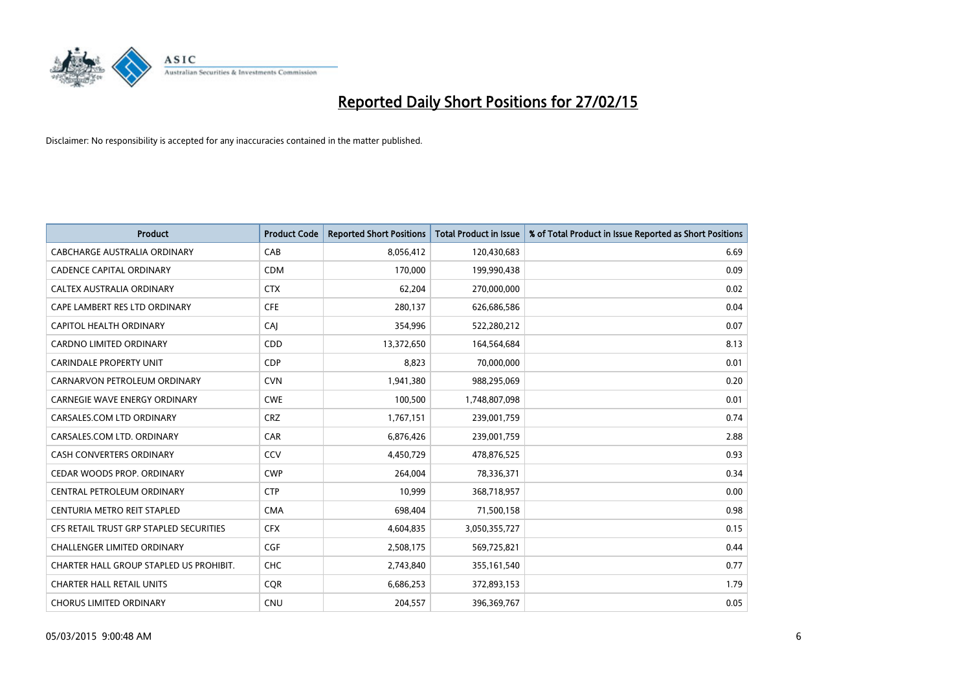

| <b>Product</b>                          | <b>Product Code</b> | <b>Reported Short Positions</b> | <b>Total Product in Issue</b> | % of Total Product in Issue Reported as Short Positions |
|-----------------------------------------|---------------------|---------------------------------|-------------------------------|---------------------------------------------------------|
| <b>CABCHARGE AUSTRALIA ORDINARY</b>     | CAB                 | 8,056,412                       | 120,430,683                   | 6.69                                                    |
| <b>CADENCE CAPITAL ORDINARY</b>         | <b>CDM</b>          | 170,000                         | 199,990,438                   | 0.09                                                    |
| CALTEX AUSTRALIA ORDINARY               | <b>CTX</b>          | 62,204                          | 270,000,000                   | 0.02                                                    |
| CAPE LAMBERT RES LTD ORDINARY           | <b>CFE</b>          | 280,137                         | 626,686,586                   | 0.04                                                    |
| CAPITOL HEALTH ORDINARY                 | CAI                 | 354,996                         | 522,280,212                   | 0.07                                                    |
| <b>CARDNO LIMITED ORDINARY</b>          | CDD                 | 13,372,650                      | 164,564,684                   | 8.13                                                    |
| <b>CARINDALE PROPERTY UNIT</b>          | <b>CDP</b>          | 8,823                           | 70,000,000                    | 0.01                                                    |
| CARNARVON PETROLEUM ORDINARY            | <b>CVN</b>          | 1,941,380                       | 988,295,069                   | 0.20                                                    |
| <b>CARNEGIE WAVE ENERGY ORDINARY</b>    | <b>CWE</b>          | 100,500                         | 1,748,807,098                 | 0.01                                                    |
| CARSALES.COM LTD ORDINARY               | <b>CRZ</b>          | 1,767,151                       | 239,001,759                   | 0.74                                                    |
| CARSALES.COM LTD. ORDINARY              | <b>CAR</b>          | 6,876,426                       | 239,001,759                   | 2.88                                                    |
| <b>CASH CONVERTERS ORDINARY</b>         | <b>CCV</b>          | 4,450,729                       | 478,876,525                   | 0.93                                                    |
| CEDAR WOODS PROP. ORDINARY              | <b>CWP</b>          | 264,004                         | 78,336,371                    | 0.34                                                    |
| CENTRAL PETROLEUM ORDINARY              | <b>CTP</b>          | 10,999                          | 368,718,957                   | 0.00                                                    |
| CENTURIA METRO REIT STAPLED             | <b>CMA</b>          | 698,404                         | 71,500,158                    | 0.98                                                    |
| CFS RETAIL TRUST GRP STAPLED SECURITIES | <b>CFX</b>          | 4,604,835                       | 3,050,355,727                 | 0.15                                                    |
| CHALLENGER LIMITED ORDINARY             | <b>CGF</b>          | 2,508,175                       | 569,725,821                   | 0.44                                                    |
| CHARTER HALL GROUP STAPLED US PROHIBIT. | <b>CHC</b>          | 2,743,840                       | 355,161,540                   | 0.77                                                    |
| <b>CHARTER HALL RETAIL UNITS</b>        | <b>CQR</b>          | 6,686,253                       | 372,893,153                   | 1.79                                                    |
| <b>CHORUS LIMITED ORDINARY</b>          | <b>CNU</b>          | 204,557                         | 396,369,767                   | 0.05                                                    |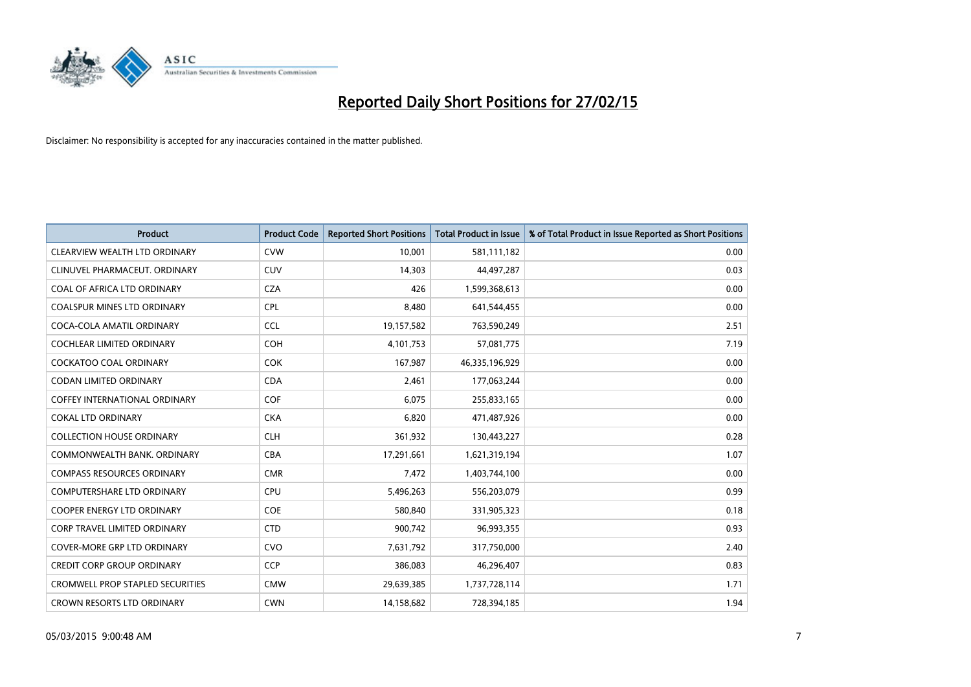

| <b>Product</b>                          | <b>Product Code</b> | <b>Reported Short Positions</b> | <b>Total Product in Issue</b> | % of Total Product in Issue Reported as Short Positions |
|-----------------------------------------|---------------------|---------------------------------|-------------------------------|---------------------------------------------------------|
| CLEARVIEW WEALTH LTD ORDINARY           | <b>CVW</b>          | 10,001                          | 581,111,182                   | 0.00                                                    |
| CLINUVEL PHARMACEUT, ORDINARY           | <b>CUV</b>          | 14,303                          | 44,497,287                    | 0.03                                                    |
| COAL OF AFRICA LTD ORDINARY             | <b>CZA</b>          | 426                             | 1,599,368,613                 | 0.00                                                    |
| COALSPUR MINES LTD ORDINARY             | <b>CPL</b>          | 8,480                           | 641,544,455                   | 0.00                                                    |
| COCA-COLA AMATIL ORDINARY               | <b>CCL</b>          | 19,157,582                      | 763,590,249                   | 2.51                                                    |
| <b>COCHLEAR LIMITED ORDINARY</b>        | COH                 | 4,101,753                       | 57,081,775                    | 7.19                                                    |
| <b>COCKATOO COAL ORDINARY</b>           | <b>COK</b>          | 167,987                         | 46,335,196,929                | 0.00                                                    |
| <b>CODAN LIMITED ORDINARY</b>           | <b>CDA</b>          | 2,461                           | 177,063,244                   | 0.00                                                    |
| <b>COFFEY INTERNATIONAL ORDINARY</b>    | <b>COF</b>          | 6,075                           | 255,833,165                   | 0.00                                                    |
| <b>COKAL LTD ORDINARY</b>               | <b>CKA</b>          | 6,820                           | 471,487,926                   | 0.00                                                    |
| <b>COLLECTION HOUSE ORDINARY</b>        | <b>CLH</b>          | 361,932                         | 130,443,227                   | 0.28                                                    |
| COMMONWEALTH BANK, ORDINARY             | <b>CBA</b>          | 17,291,661                      | 1,621,319,194                 | 1.07                                                    |
| <b>COMPASS RESOURCES ORDINARY</b>       | <b>CMR</b>          | 7,472                           | 1,403,744,100                 | 0.00                                                    |
| <b>COMPUTERSHARE LTD ORDINARY</b>       | <b>CPU</b>          | 5,496,263                       | 556,203,079                   | 0.99                                                    |
| <b>COOPER ENERGY LTD ORDINARY</b>       | <b>COE</b>          | 580,840                         | 331,905,323                   | 0.18                                                    |
| CORP TRAVEL LIMITED ORDINARY            | <b>CTD</b>          | 900,742                         | 96,993,355                    | 0.93                                                    |
| <b>COVER-MORE GRP LTD ORDINARY</b>      | <b>CVO</b>          | 7,631,792                       | 317,750,000                   | 2.40                                                    |
| <b>CREDIT CORP GROUP ORDINARY</b>       | <b>CCP</b>          | 386,083                         | 46,296,407                    | 0.83                                                    |
| <b>CROMWELL PROP STAPLED SECURITIES</b> | <b>CMW</b>          | 29,639,385                      | 1,737,728,114                 | 1.71                                                    |
| <b>CROWN RESORTS LTD ORDINARY</b>       | <b>CWN</b>          | 14,158,682                      | 728,394,185                   | 1.94                                                    |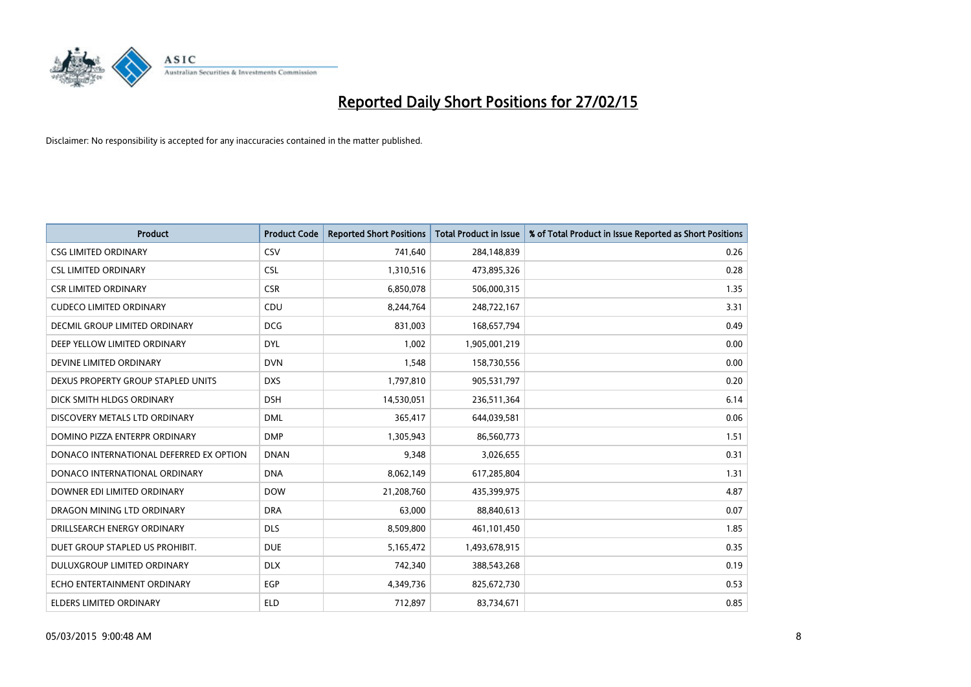

| <b>Product</b>                          | <b>Product Code</b> | <b>Reported Short Positions</b> | <b>Total Product in Issue</b> | % of Total Product in Issue Reported as Short Positions |
|-----------------------------------------|---------------------|---------------------------------|-------------------------------|---------------------------------------------------------|
| <b>CSG LIMITED ORDINARY</b>             | CSV                 | 741,640                         | 284,148,839                   | 0.26                                                    |
| <b>CSL LIMITED ORDINARY</b>             | <b>CSL</b>          | 1,310,516                       | 473,895,326                   | 0.28                                                    |
| <b>CSR LIMITED ORDINARY</b>             | <b>CSR</b>          | 6,850,078                       | 506,000,315                   | 1.35                                                    |
| <b>CUDECO LIMITED ORDINARY</b>          | CDU                 | 8,244,764                       | 248,722,167                   | 3.31                                                    |
| <b>DECMIL GROUP LIMITED ORDINARY</b>    | <b>DCG</b>          | 831,003                         | 168,657,794                   | 0.49                                                    |
| DEEP YELLOW LIMITED ORDINARY            | <b>DYL</b>          | 1,002                           | 1,905,001,219                 | 0.00                                                    |
| DEVINE LIMITED ORDINARY                 | <b>DVN</b>          | 1,548                           | 158,730,556                   | 0.00                                                    |
| DEXUS PROPERTY GROUP STAPLED UNITS      | <b>DXS</b>          | 1,797,810                       | 905,531,797                   | 0.20                                                    |
| DICK SMITH HLDGS ORDINARY               | <b>DSH</b>          | 14,530,051                      | 236,511,364                   | 6.14                                                    |
| DISCOVERY METALS LTD ORDINARY           | <b>DML</b>          | 365,417                         | 644,039,581                   | 0.06                                                    |
| DOMINO PIZZA ENTERPR ORDINARY           | <b>DMP</b>          | 1,305,943                       | 86,560,773                    | 1.51                                                    |
| DONACO INTERNATIONAL DEFERRED EX OPTION | <b>DNAN</b>         | 9,348                           | 3,026,655                     | 0.31                                                    |
| DONACO INTERNATIONAL ORDINARY           | <b>DNA</b>          | 8,062,149                       | 617,285,804                   | 1.31                                                    |
| DOWNER EDI LIMITED ORDINARY             | <b>DOW</b>          | 21,208,760                      | 435,399,975                   | 4.87                                                    |
| DRAGON MINING LTD ORDINARY              | <b>DRA</b>          | 63,000                          | 88,840,613                    | 0.07                                                    |
| DRILLSEARCH ENERGY ORDINARY             | <b>DLS</b>          | 8,509,800                       | 461,101,450                   | 1.85                                                    |
| DUET GROUP STAPLED US PROHIBIT.         | <b>DUE</b>          | 5,165,472                       | 1,493,678,915                 | 0.35                                                    |
| DULUXGROUP LIMITED ORDINARY             | <b>DLX</b>          | 742,340                         | 388,543,268                   | 0.19                                                    |
| ECHO ENTERTAINMENT ORDINARY             | <b>EGP</b>          | 4,349,736                       | 825,672,730                   | 0.53                                                    |
| ELDERS LIMITED ORDINARY                 | <b>ELD</b>          | 712,897                         | 83,734,671                    | 0.85                                                    |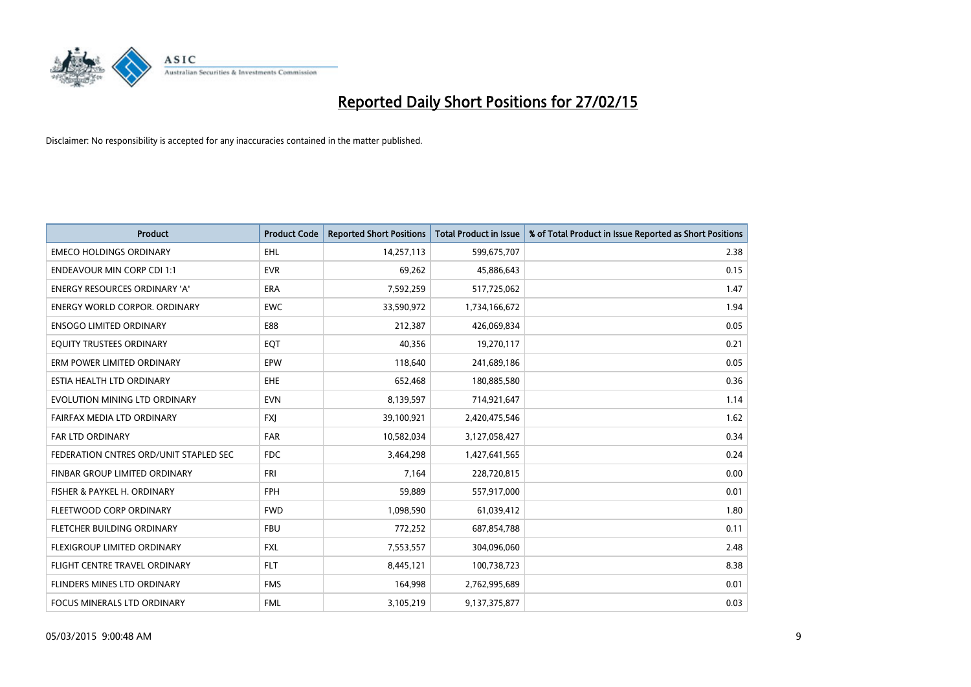

| <b>Product</b>                         | <b>Product Code</b> | <b>Reported Short Positions</b> | <b>Total Product in Issue</b> | % of Total Product in Issue Reported as Short Positions |
|----------------------------------------|---------------------|---------------------------------|-------------------------------|---------------------------------------------------------|
| <b>EMECO HOLDINGS ORDINARY</b>         | <b>EHL</b>          | 14,257,113                      | 599,675,707                   | 2.38                                                    |
| <b>ENDEAVOUR MIN CORP CDI 1:1</b>      | <b>EVR</b>          | 69,262                          | 45,886,643                    | 0.15                                                    |
| <b>ENERGY RESOURCES ORDINARY 'A'</b>   | <b>ERA</b>          | 7,592,259                       | 517,725,062                   | 1.47                                                    |
| ENERGY WORLD CORPOR. ORDINARY          | <b>EWC</b>          | 33,590,972                      | 1,734,166,672                 | 1.94                                                    |
| <b>ENSOGO LIMITED ORDINARY</b>         | E88                 | 212,387                         | 426,069,834                   | 0.05                                                    |
| EQUITY TRUSTEES ORDINARY               | EQT                 | 40,356                          | 19,270,117                    | 0.21                                                    |
| ERM POWER LIMITED ORDINARY             | <b>EPW</b>          | 118,640                         | 241,689,186                   | 0.05                                                    |
| ESTIA HEALTH LTD ORDINARY              | EHE                 | 652,468                         | 180,885,580                   | 0.36                                                    |
| EVOLUTION MINING LTD ORDINARY          | <b>EVN</b>          | 8,139,597                       | 714,921,647                   | 1.14                                                    |
| FAIRFAX MEDIA LTD ORDINARY             | <b>FXI</b>          | 39,100,921                      | 2,420,475,546                 | 1.62                                                    |
| FAR LTD ORDINARY                       | FAR                 | 10,582,034                      | 3,127,058,427                 | 0.34                                                    |
| FEDERATION CNTRES ORD/UNIT STAPLED SEC | <b>FDC</b>          | 3,464,298                       | 1,427,641,565                 | 0.24                                                    |
| FINBAR GROUP LIMITED ORDINARY          | <b>FRI</b>          | 7,164                           | 228,720,815                   | 0.00                                                    |
| FISHER & PAYKEL H. ORDINARY            | <b>FPH</b>          | 59,889                          | 557,917,000                   | 0.01                                                    |
| FLEETWOOD CORP ORDINARY                | <b>FWD</b>          | 1,098,590                       | 61,039,412                    | 1.80                                                    |
| FLETCHER BUILDING ORDINARY             | <b>FBU</b>          | 772,252                         | 687,854,788                   | 0.11                                                    |
| FLEXIGROUP LIMITED ORDINARY            | <b>FXL</b>          | 7,553,557                       | 304,096,060                   | 2.48                                                    |
| FLIGHT CENTRE TRAVEL ORDINARY          | <b>FLT</b>          | 8,445,121                       | 100,738,723                   | 8.38                                                    |
| FLINDERS MINES LTD ORDINARY            | <b>FMS</b>          | 164,998                         | 2,762,995,689                 | 0.01                                                    |
| FOCUS MINERALS LTD ORDINARY            | <b>FML</b>          | 3,105,219                       | 9,137,375,877                 | 0.03                                                    |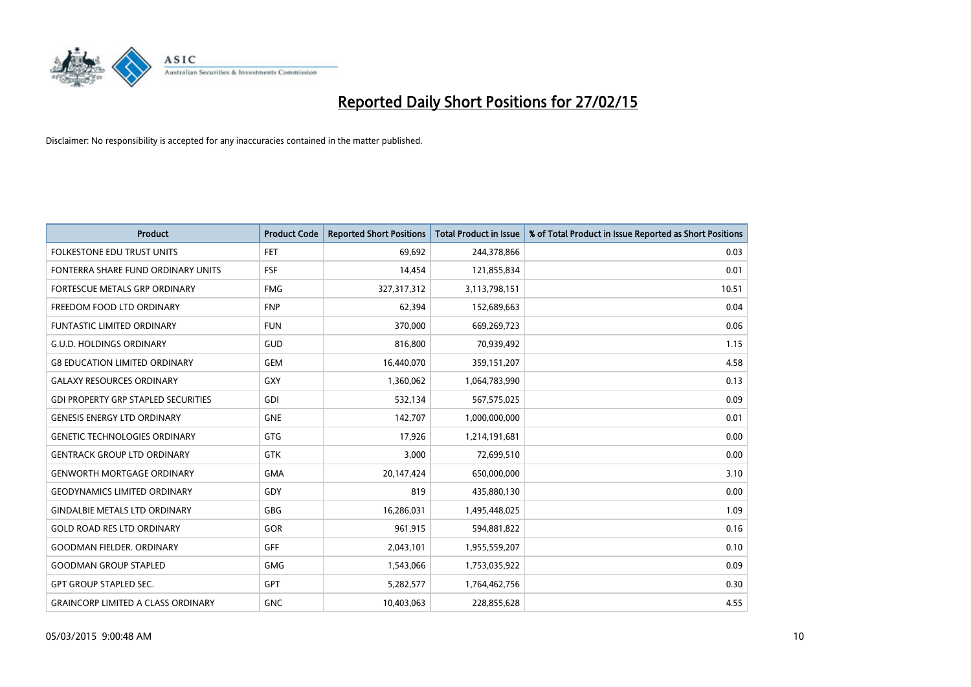

| <b>Product</b>                             | <b>Product Code</b> | <b>Reported Short Positions</b> | <b>Total Product in Issue</b> | % of Total Product in Issue Reported as Short Positions |
|--------------------------------------------|---------------------|---------------------------------|-------------------------------|---------------------------------------------------------|
| <b>FOLKESTONE EDU TRUST UNITS</b>          | <b>FET</b>          | 69,692                          | 244,378,866                   | 0.03                                                    |
| FONTERRA SHARE FUND ORDINARY UNITS         | FSF                 | 14,454                          | 121,855,834                   | 0.01                                                    |
| <b>FORTESCUE METALS GRP ORDINARY</b>       | <b>FMG</b>          | 327,317,312                     | 3,113,798,151                 | 10.51                                                   |
| FREEDOM FOOD LTD ORDINARY                  | <b>FNP</b>          | 62,394                          | 152,689,663                   | 0.04                                                    |
| <b>FUNTASTIC LIMITED ORDINARY</b>          | <b>FUN</b>          | 370,000                         | 669,269,723                   | 0.06                                                    |
| <b>G.U.D. HOLDINGS ORDINARY</b>            | GUD                 | 816,800                         | 70,939,492                    | 1.15                                                    |
| <b>G8 EDUCATION LIMITED ORDINARY</b>       | <b>GEM</b>          | 16,440,070                      | 359,151,207                   | 4.58                                                    |
| <b>GALAXY RESOURCES ORDINARY</b>           | GXY                 | 1,360,062                       | 1,064,783,990                 | 0.13                                                    |
| <b>GDI PROPERTY GRP STAPLED SECURITIES</b> | GDI                 | 532,134                         | 567,575,025                   | 0.09                                                    |
| <b>GENESIS ENERGY LTD ORDINARY</b>         | <b>GNE</b>          | 142,707                         | 1,000,000,000                 | 0.01                                                    |
| <b>GENETIC TECHNOLOGIES ORDINARY</b>       | <b>GTG</b>          | 17,926                          | 1,214,191,681                 | 0.00                                                    |
| <b>GENTRACK GROUP LTD ORDINARY</b>         | <b>GTK</b>          | 3,000                           | 72,699,510                    | 0.00                                                    |
| <b>GENWORTH MORTGAGE ORDINARY</b>          | <b>GMA</b>          | 20,147,424                      | 650,000,000                   | 3.10                                                    |
| <b>GEODYNAMICS LIMITED ORDINARY</b>        | GDY                 | 819                             | 435,880,130                   | 0.00                                                    |
| <b>GINDALBIE METALS LTD ORDINARY</b>       | <b>GBG</b>          | 16,286,031                      | 1,495,448,025                 | 1.09                                                    |
| <b>GOLD ROAD RES LTD ORDINARY</b>          | GOR                 | 961,915                         | 594,881,822                   | 0.16                                                    |
| <b>GOODMAN FIELDER. ORDINARY</b>           | GFF                 | 2,043,101                       | 1,955,559,207                 | 0.10                                                    |
| <b>GOODMAN GROUP STAPLED</b>               | <b>GMG</b>          | 1,543,066                       | 1,753,035,922                 | 0.09                                                    |
| <b>GPT GROUP STAPLED SEC.</b>              | <b>GPT</b>          | 5,282,577                       | 1,764,462,756                 | 0.30                                                    |
| <b>GRAINCORP LIMITED A CLASS ORDINARY</b>  | <b>GNC</b>          | 10,403,063                      | 228,855,628                   | 4.55                                                    |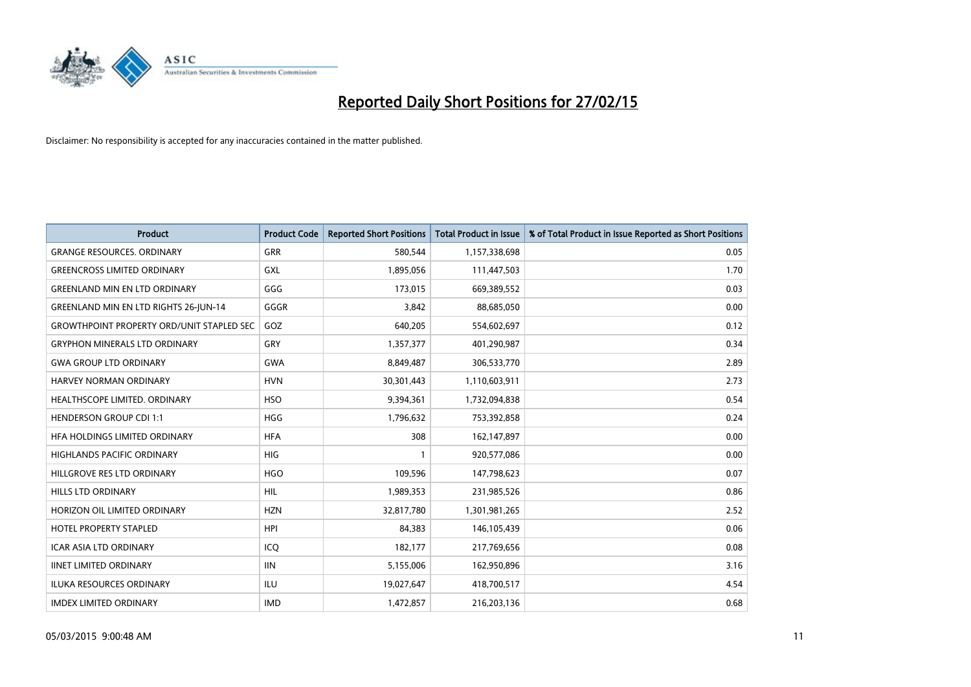

| <b>Product</b>                                   | <b>Product Code</b> | <b>Reported Short Positions</b> | <b>Total Product in Issue</b> | % of Total Product in Issue Reported as Short Positions |
|--------------------------------------------------|---------------------|---------------------------------|-------------------------------|---------------------------------------------------------|
| <b>GRANGE RESOURCES, ORDINARY</b>                | GRR                 | 580,544                         | 1,157,338,698                 | 0.05                                                    |
| <b>GREENCROSS LIMITED ORDINARY</b>               | GXL                 | 1,895,056                       | 111,447,503                   | 1.70                                                    |
| <b>GREENLAND MIN EN LTD ORDINARY</b>             | GGG                 | 173,015                         | 669,389,552                   | 0.03                                                    |
| GREENLAND MIN EN LTD RIGHTS 26-JUN-14            | GGGR                | 3,842                           | 88,685,050                    | 0.00                                                    |
| <b>GROWTHPOINT PROPERTY ORD/UNIT STAPLED SEC</b> | GOZ                 | 640,205                         | 554,602,697                   | 0.12                                                    |
| <b>GRYPHON MINERALS LTD ORDINARY</b>             | GRY                 | 1,357,377                       | 401,290,987                   | 0.34                                                    |
| <b>GWA GROUP LTD ORDINARY</b>                    | <b>GWA</b>          | 8,849,487                       | 306,533,770                   | 2.89                                                    |
| <b>HARVEY NORMAN ORDINARY</b>                    | <b>HVN</b>          | 30,301,443                      | 1,110,603,911                 | 2.73                                                    |
| HEALTHSCOPE LIMITED. ORDINARY                    | <b>HSO</b>          | 9,394,361                       | 1,732,094,838                 | 0.54                                                    |
| <b>HENDERSON GROUP CDI 1:1</b>                   | <b>HGG</b>          | 1,796,632                       | 753,392,858                   | 0.24                                                    |
| HFA HOLDINGS LIMITED ORDINARY                    | <b>HFA</b>          | 308                             | 162,147,897                   | 0.00                                                    |
| HIGHLANDS PACIFIC ORDINARY                       | HIG                 | $\mathbf{1}$                    | 920,577,086                   | 0.00                                                    |
| HILLGROVE RES LTD ORDINARY                       | <b>HGO</b>          | 109,596                         | 147,798,623                   | 0.07                                                    |
| <b>HILLS LTD ORDINARY</b>                        | <b>HIL</b>          | 1,989,353                       | 231,985,526                   | 0.86                                                    |
| HORIZON OIL LIMITED ORDINARY                     | <b>HZN</b>          | 32,817,780                      | 1,301,981,265                 | 2.52                                                    |
| <b>HOTEL PROPERTY STAPLED</b>                    | <b>HPI</b>          | 84,383                          | 146, 105, 439                 | 0.06                                                    |
| <b>ICAR ASIA LTD ORDINARY</b>                    | ICQ                 | 182,177                         | 217,769,656                   | 0.08                                                    |
| <b>IINET LIMITED ORDINARY</b>                    | <b>IIN</b>          | 5,155,006                       | 162,950,896                   | 3.16                                                    |
| <b>ILUKA RESOURCES ORDINARY</b>                  | ILU                 | 19,027,647                      | 418,700,517                   | 4.54                                                    |
| <b>IMDEX LIMITED ORDINARY</b>                    | <b>IMD</b>          | 1,472,857                       | 216,203,136                   | 0.68                                                    |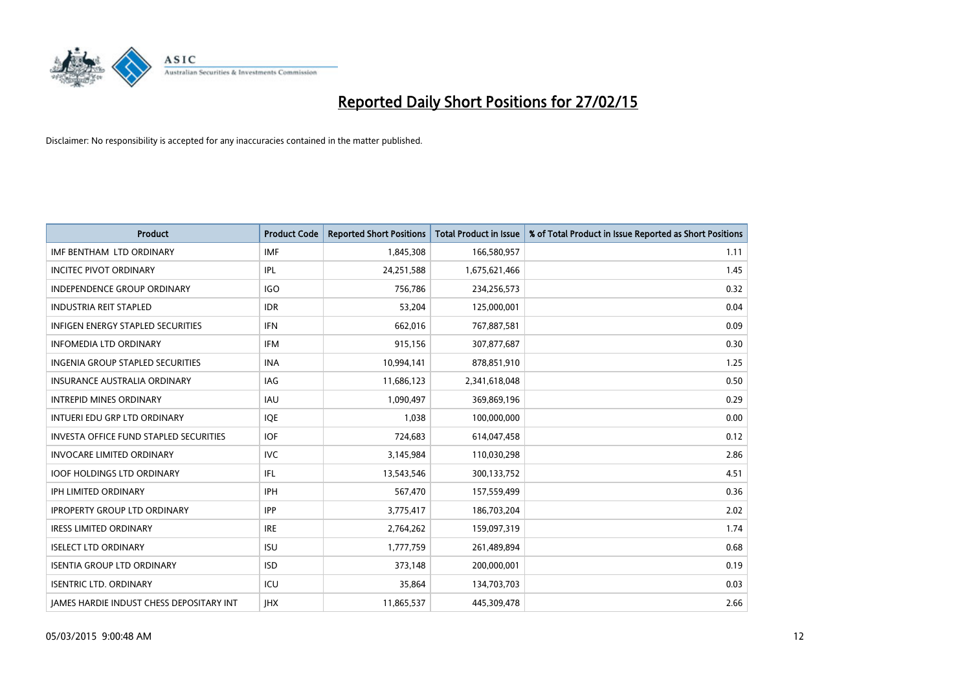

| <b>Product</b>                                  | <b>Product Code</b> | <b>Reported Short Positions</b> | <b>Total Product in Issue</b> | % of Total Product in Issue Reported as Short Positions |
|-------------------------------------------------|---------------------|---------------------------------|-------------------------------|---------------------------------------------------------|
| IMF BENTHAM LTD ORDINARY                        | <b>IMF</b>          | 1,845,308                       | 166,580,957                   | 1.11                                                    |
| <b>INCITEC PIVOT ORDINARY</b>                   | IPL                 | 24,251,588                      | 1,675,621,466                 | 1.45                                                    |
| <b>INDEPENDENCE GROUP ORDINARY</b>              | <b>IGO</b>          | 756,786                         | 234,256,573                   | 0.32                                                    |
| <b>INDUSTRIA REIT STAPLED</b>                   | <b>IDR</b>          | 53,204                          | 125,000,001                   | 0.04                                                    |
| <b>INFIGEN ENERGY STAPLED SECURITIES</b>        | <b>IFN</b>          | 662,016                         | 767,887,581                   | 0.09                                                    |
| <b>INFOMEDIA LTD ORDINARY</b>                   | <b>IFM</b>          | 915,156                         | 307,877,687                   | 0.30                                                    |
| <b>INGENIA GROUP STAPLED SECURITIES</b>         | <b>INA</b>          | 10,994,141                      | 878,851,910                   | 1.25                                                    |
| <b>INSURANCE AUSTRALIA ORDINARY</b>             | IAG                 | 11,686,123                      | 2,341,618,048                 | 0.50                                                    |
| <b>INTREPID MINES ORDINARY</b>                  | IAU                 | 1,090,497                       | 369,869,196                   | 0.29                                                    |
| INTUERI EDU GRP LTD ORDINARY                    | <b>IOE</b>          | 1,038                           | 100,000,000                   | 0.00                                                    |
| <b>INVESTA OFFICE FUND STAPLED SECURITIES</b>   | <b>IOF</b>          | 724,683                         | 614,047,458                   | 0.12                                                    |
| <b>INVOCARE LIMITED ORDINARY</b>                | <b>IVC</b>          | 3,145,984                       | 110,030,298                   | 2.86                                                    |
| <b>IOOF HOLDINGS LTD ORDINARY</b>               | IFL                 | 13,543,546                      | 300,133,752                   | 4.51                                                    |
| IPH LIMITED ORDINARY                            | <b>IPH</b>          | 567,470                         | 157,559,499                   | 0.36                                                    |
| <b>IPROPERTY GROUP LTD ORDINARY</b>             | <b>IPP</b>          | 3,775,417                       | 186,703,204                   | 2.02                                                    |
| <b>IRESS LIMITED ORDINARY</b>                   | <b>IRE</b>          | 2,764,262                       | 159,097,319                   | 1.74                                                    |
| <b>ISELECT LTD ORDINARY</b>                     | <b>ISU</b>          | 1,777,759                       | 261,489,894                   | 0.68                                                    |
| <b>ISENTIA GROUP LTD ORDINARY</b>               | <b>ISD</b>          | 373,148                         | 200,000,001                   | 0.19                                                    |
| <b>ISENTRIC LTD. ORDINARY</b>                   | ICU                 | 35,864                          | 134,703,703                   | 0.03                                                    |
| <b>IAMES HARDIE INDUST CHESS DEPOSITARY INT</b> | <b>IHX</b>          | 11,865,537                      | 445,309,478                   | 2.66                                                    |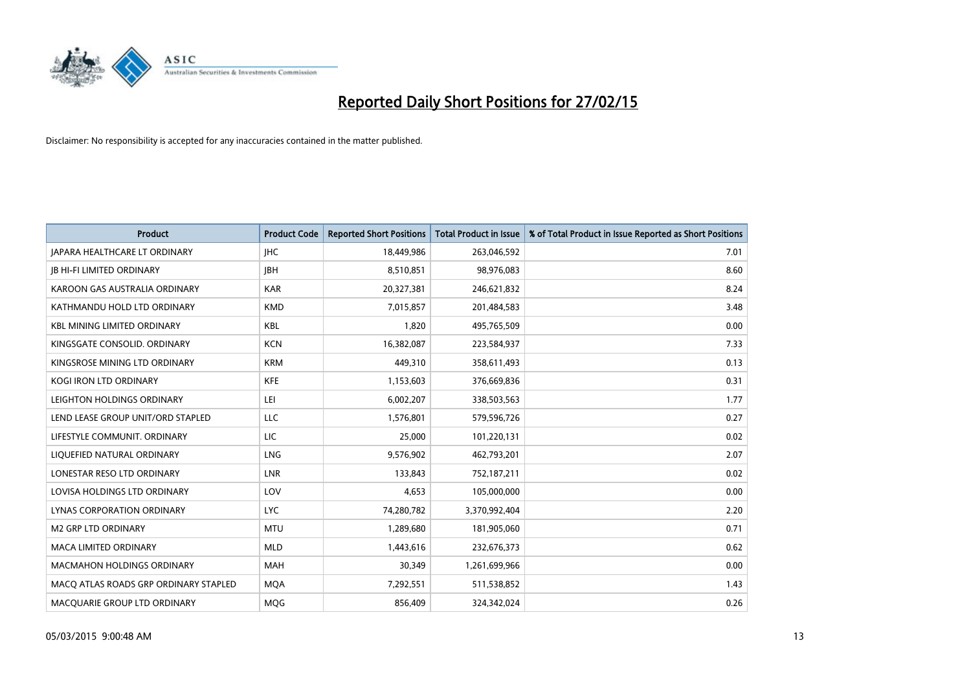

| <b>Product</b>                        | <b>Product Code</b> | <b>Reported Short Positions</b> | <b>Total Product in Issue</b> | % of Total Product in Issue Reported as Short Positions |
|---------------------------------------|---------------------|---------------------------------|-------------------------------|---------------------------------------------------------|
| <b>JAPARA HEALTHCARE LT ORDINARY</b>  | <b>IHC</b>          | 18,449,986                      | 263,046,592                   | 7.01                                                    |
| <b>JB HI-FI LIMITED ORDINARY</b>      | <b>JBH</b>          | 8,510,851                       | 98,976,083                    | 8.60                                                    |
| KAROON GAS AUSTRALIA ORDINARY         | <b>KAR</b>          | 20,327,381                      | 246,621,832                   | 8.24                                                    |
| KATHMANDU HOLD LTD ORDINARY           | <b>KMD</b>          | 7,015,857                       | 201,484,583                   | 3.48                                                    |
| <b>KBL MINING LIMITED ORDINARY</b>    | <b>KBL</b>          | 1,820                           | 495,765,509                   | 0.00                                                    |
| KINGSGATE CONSOLID. ORDINARY          | <b>KCN</b>          | 16,382,087                      | 223,584,937                   | 7.33                                                    |
| KINGSROSE MINING LTD ORDINARY         | <b>KRM</b>          | 449,310                         | 358,611,493                   | 0.13                                                    |
| KOGI IRON LTD ORDINARY                | KFE                 | 1,153,603                       | 376,669,836                   | 0.31                                                    |
| LEIGHTON HOLDINGS ORDINARY            | LEI                 | 6,002,207                       | 338,503,563                   | 1.77                                                    |
| LEND LEASE GROUP UNIT/ORD STAPLED     | LLC                 | 1,576,801                       | 579,596,726                   | 0.27                                                    |
| LIFESTYLE COMMUNIT. ORDINARY          | LIC                 | 25,000                          | 101,220,131                   | 0.02                                                    |
| LIQUEFIED NATURAL ORDINARY            | LNG                 | 9,576,902                       | 462,793,201                   | 2.07                                                    |
| LONESTAR RESO LTD ORDINARY            | <b>LNR</b>          | 133,843                         | 752,187,211                   | 0.02                                                    |
| LOVISA HOLDINGS LTD ORDINARY          | LOV                 | 4,653                           | 105,000,000                   | 0.00                                                    |
| LYNAS CORPORATION ORDINARY            | <b>LYC</b>          | 74,280,782                      | 3,370,992,404                 | 2.20                                                    |
| M2 GRP LTD ORDINARY                   | <b>MTU</b>          | 1,289,680                       | 181,905,060                   | 0.71                                                    |
| MACA LIMITED ORDINARY                 | <b>MLD</b>          | 1,443,616                       | 232,676,373                   | 0.62                                                    |
| MACMAHON HOLDINGS ORDINARY            | MAH                 | 30,349                          | 1,261,699,966                 | 0.00                                                    |
| MACO ATLAS ROADS GRP ORDINARY STAPLED | <b>MOA</b>          | 7,292,551                       | 511,538,852                   | 1.43                                                    |
| MACQUARIE GROUP LTD ORDINARY          | <b>MOG</b>          | 856,409                         | 324,342,024                   | 0.26                                                    |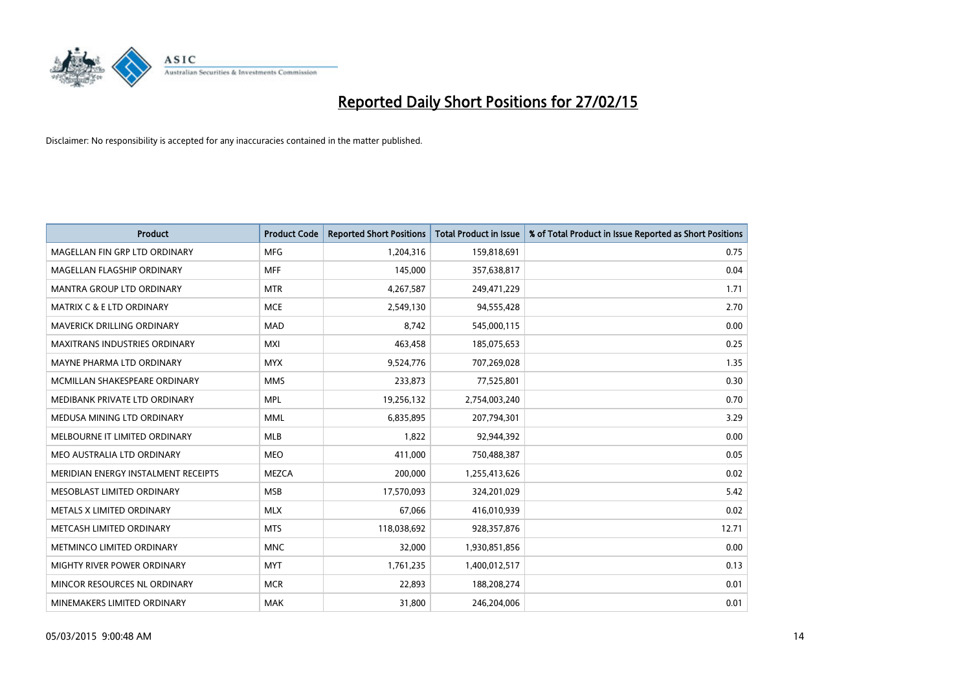

| <b>Product</b>                       | <b>Product Code</b> | <b>Reported Short Positions</b> | <b>Total Product in Issue</b> | % of Total Product in Issue Reported as Short Positions |
|--------------------------------------|---------------------|---------------------------------|-------------------------------|---------------------------------------------------------|
| MAGELLAN FIN GRP LTD ORDINARY        | <b>MFG</b>          | 1,204,316                       | 159,818,691                   | 0.75                                                    |
| MAGELLAN FLAGSHIP ORDINARY           | <b>MFF</b>          | 145,000                         | 357,638,817                   | 0.04                                                    |
| MANTRA GROUP LTD ORDINARY            | <b>MTR</b>          | 4,267,587                       | 249,471,229                   | 1.71                                                    |
| <b>MATRIX C &amp; E LTD ORDINARY</b> | <b>MCE</b>          | 2,549,130                       | 94,555,428                    | 2.70                                                    |
| <b>MAVERICK DRILLING ORDINARY</b>    | <b>MAD</b>          | 8,742                           | 545,000,115                   | 0.00                                                    |
| <b>MAXITRANS INDUSTRIES ORDINARY</b> | <b>MXI</b>          | 463,458                         | 185,075,653                   | 0.25                                                    |
| MAYNE PHARMA LTD ORDINARY            | <b>MYX</b>          | 9,524,776                       | 707,269,028                   | 1.35                                                    |
| MCMILLAN SHAKESPEARE ORDINARY        | <b>MMS</b>          | 233,873                         | 77,525,801                    | 0.30                                                    |
| MEDIBANK PRIVATE LTD ORDINARY        | <b>MPL</b>          | 19,256,132                      | 2,754,003,240                 | 0.70                                                    |
| MEDUSA MINING LTD ORDINARY           | <b>MML</b>          | 6,835,895                       | 207,794,301                   | 3.29                                                    |
| MELBOURNE IT LIMITED ORDINARY        | <b>MLB</b>          | 1,822                           | 92,944,392                    | 0.00                                                    |
| MEO AUSTRALIA LTD ORDINARY           | <b>MEO</b>          | 411,000                         | 750,488,387                   | 0.05                                                    |
| MERIDIAN ENERGY INSTALMENT RECEIPTS  | <b>MEZCA</b>        | 200,000                         | 1,255,413,626                 | 0.02                                                    |
| MESOBLAST LIMITED ORDINARY           | <b>MSB</b>          | 17,570,093                      | 324,201,029                   | 5.42                                                    |
| METALS X LIMITED ORDINARY            | <b>MLX</b>          | 67,066                          | 416,010,939                   | 0.02                                                    |
| METCASH LIMITED ORDINARY             | <b>MTS</b>          | 118,038,692                     | 928,357,876                   | 12.71                                                   |
| METMINCO LIMITED ORDINARY            | <b>MNC</b>          | 32,000                          | 1,930,851,856                 | 0.00                                                    |
| MIGHTY RIVER POWER ORDINARY          | <b>MYT</b>          | 1,761,235                       | 1,400,012,517                 | 0.13                                                    |
| MINCOR RESOURCES NL ORDINARY         | <b>MCR</b>          | 22,893                          | 188,208,274                   | 0.01                                                    |
| MINEMAKERS LIMITED ORDINARY          | <b>MAK</b>          | 31,800                          | 246,204,006                   | 0.01                                                    |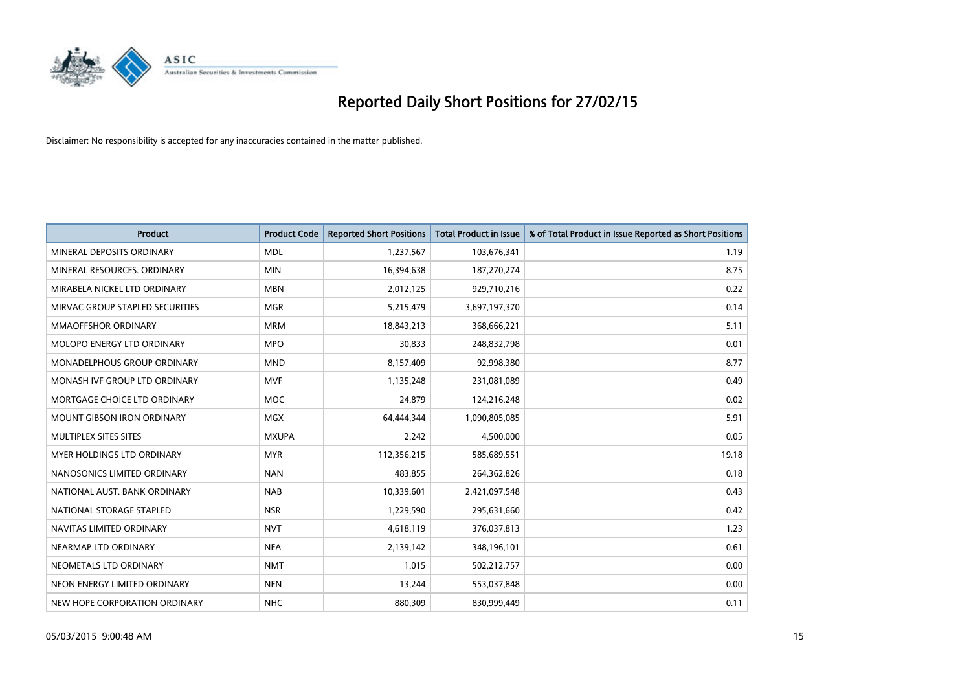

| <b>Product</b>                     | <b>Product Code</b> | <b>Reported Short Positions</b> | <b>Total Product in Issue</b> | % of Total Product in Issue Reported as Short Positions |
|------------------------------------|---------------------|---------------------------------|-------------------------------|---------------------------------------------------------|
| MINERAL DEPOSITS ORDINARY          | <b>MDL</b>          | 1,237,567                       | 103,676,341                   | 1.19                                                    |
| MINERAL RESOURCES. ORDINARY        | <b>MIN</b>          | 16,394,638                      | 187,270,274                   | 8.75                                                    |
| MIRABELA NICKEL LTD ORDINARY       | <b>MBN</b>          | 2,012,125                       | 929,710,216                   | 0.22                                                    |
| MIRVAC GROUP STAPLED SECURITIES    | <b>MGR</b>          | 5,215,479                       | 3,697,197,370                 | 0.14                                                    |
| MMAOFFSHOR ORDINARY                | <b>MRM</b>          | 18,843,213                      | 368,666,221                   | 5.11                                                    |
| MOLOPO ENERGY LTD ORDINARY         | <b>MPO</b>          | 30,833                          | 248,832,798                   | 0.01                                                    |
| <b>MONADELPHOUS GROUP ORDINARY</b> | <b>MND</b>          | 8,157,409                       | 92,998,380                    | 8.77                                                    |
| MONASH IVF GROUP LTD ORDINARY      | <b>MVF</b>          | 1,135,248                       | 231,081,089                   | 0.49                                                    |
| MORTGAGE CHOICE LTD ORDINARY       | <b>MOC</b>          | 24,879                          | 124,216,248                   | 0.02                                                    |
| <b>MOUNT GIBSON IRON ORDINARY</b>  | MGX                 | 64,444,344                      | 1,090,805,085                 | 5.91                                                    |
| MULTIPLEX SITES SITES              | <b>MXUPA</b>        | 2,242                           | 4,500,000                     | 0.05                                                    |
| MYER HOLDINGS LTD ORDINARY         | <b>MYR</b>          | 112,356,215                     | 585,689,551                   | 19.18                                                   |
| NANOSONICS LIMITED ORDINARY        | <b>NAN</b>          | 483,855                         | 264,362,826                   | 0.18                                                    |
| NATIONAL AUST. BANK ORDINARY       | <b>NAB</b>          | 10,339,601                      | 2,421,097,548                 | 0.43                                                    |
| NATIONAL STORAGE STAPLED           | <b>NSR</b>          | 1,229,590                       | 295,631,660                   | 0.42                                                    |
| NAVITAS LIMITED ORDINARY           | <b>NVT</b>          | 4,618,119                       | 376,037,813                   | 1.23                                                    |
| NEARMAP LTD ORDINARY               | <b>NEA</b>          | 2,139,142                       | 348,196,101                   | 0.61                                                    |
| NEOMETALS LTD ORDINARY             | <b>NMT</b>          | 1,015                           | 502,212,757                   | 0.00                                                    |
| NEON ENERGY LIMITED ORDINARY       | <b>NEN</b>          | 13,244                          | 553,037,848                   | 0.00                                                    |
| NEW HOPE CORPORATION ORDINARY      | <b>NHC</b>          | 880,309                         | 830,999,449                   | 0.11                                                    |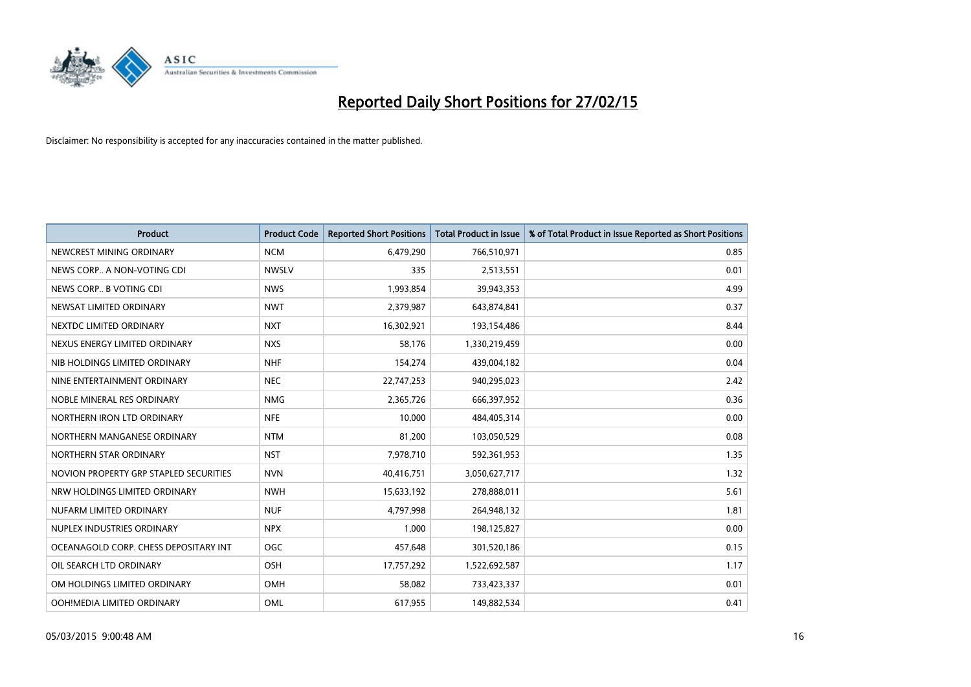

| <b>Product</b>                         | <b>Product Code</b> | <b>Reported Short Positions</b> | <b>Total Product in Issue</b> | % of Total Product in Issue Reported as Short Positions |
|----------------------------------------|---------------------|---------------------------------|-------------------------------|---------------------------------------------------------|
| NEWCREST MINING ORDINARY               | <b>NCM</b>          | 6,479,290                       | 766,510,971                   | 0.85                                                    |
| NEWS CORP A NON-VOTING CDI             | <b>NWSLV</b>        | 335                             | 2,513,551                     | 0.01                                                    |
| NEWS CORP B VOTING CDI                 | <b>NWS</b>          | 1,993,854                       | 39,943,353                    | 4.99                                                    |
| NEWSAT LIMITED ORDINARY                | <b>NWT</b>          | 2,379,987                       | 643,874,841                   | 0.37                                                    |
| NEXTDC LIMITED ORDINARY                | <b>NXT</b>          | 16,302,921                      | 193,154,486                   | 8.44                                                    |
| NEXUS ENERGY LIMITED ORDINARY          | <b>NXS</b>          | 58,176                          | 1,330,219,459                 | 0.00                                                    |
| NIB HOLDINGS LIMITED ORDINARY          | <b>NHF</b>          | 154,274                         | 439,004,182                   | 0.04                                                    |
| NINE ENTERTAINMENT ORDINARY            | <b>NEC</b>          | 22,747,253                      | 940,295,023                   | 2.42                                                    |
| NOBLE MINERAL RES ORDINARY             | <b>NMG</b>          | 2,365,726                       | 666,397,952                   | 0.36                                                    |
| NORTHERN IRON LTD ORDINARY             | <b>NFE</b>          | 10,000                          | 484,405,314                   | 0.00                                                    |
| NORTHERN MANGANESE ORDINARY            | <b>NTM</b>          | 81,200                          | 103,050,529                   | 0.08                                                    |
| NORTHERN STAR ORDINARY                 | <b>NST</b>          | 7,978,710                       | 592,361,953                   | 1.35                                                    |
| NOVION PROPERTY GRP STAPLED SECURITIES | <b>NVN</b>          | 40,416,751                      | 3,050,627,717                 | 1.32                                                    |
| NRW HOLDINGS LIMITED ORDINARY          | <b>NWH</b>          | 15,633,192                      | 278,888,011                   | 5.61                                                    |
| NUFARM LIMITED ORDINARY                | <b>NUF</b>          | 4,797,998                       | 264,948,132                   | 1.81                                                    |
| NUPLEX INDUSTRIES ORDINARY             | <b>NPX</b>          | 1,000                           | 198,125,827                   | 0.00                                                    |
| OCEANAGOLD CORP. CHESS DEPOSITARY INT  | <b>OGC</b>          | 457,648                         | 301,520,186                   | 0.15                                                    |
| OIL SEARCH LTD ORDINARY                | OSH                 | 17,757,292                      | 1,522,692,587                 | 1.17                                                    |
| OM HOLDINGS LIMITED ORDINARY           | <b>OMH</b>          | 58,082                          | 733,423,337                   | 0.01                                                    |
| OOH!MEDIA LIMITED ORDINARY             | OML                 | 617,955                         | 149,882,534                   | 0.41                                                    |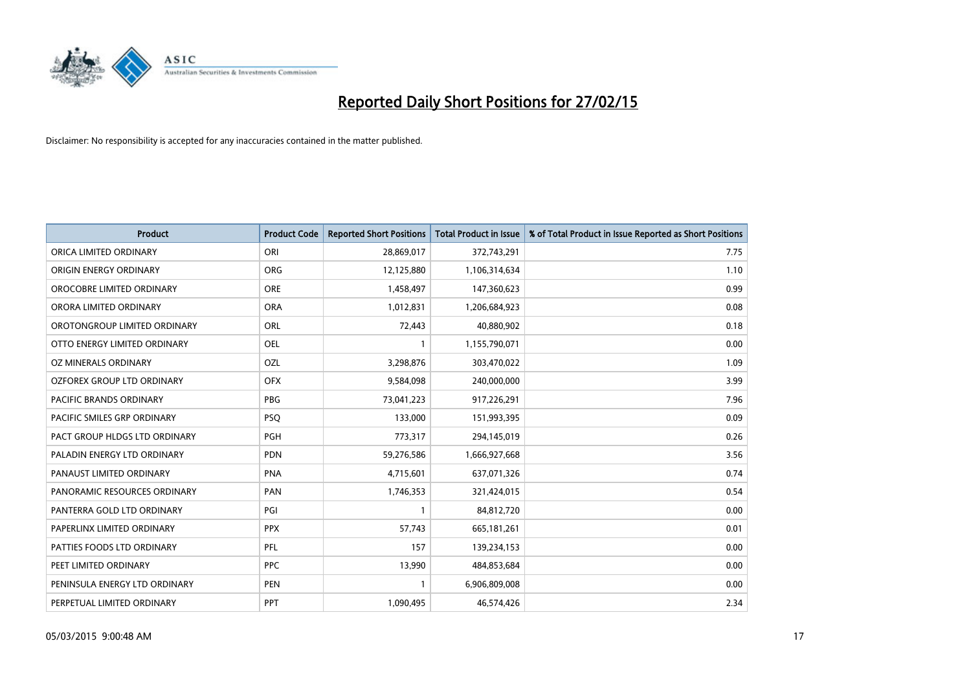

| Product                       | <b>Product Code</b> | <b>Reported Short Positions</b> | <b>Total Product in Issue</b> | % of Total Product in Issue Reported as Short Positions |
|-------------------------------|---------------------|---------------------------------|-------------------------------|---------------------------------------------------------|
| ORICA LIMITED ORDINARY        | ORI                 | 28,869,017                      | 372,743,291                   | 7.75                                                    |
| ORIGIN ENERGY ORDINARY        | <b>ORG</b>          | 12,125,880                      | 1,106,314,634                 | 1.10                                                    |
| OROCOBRE LIMITED ORDINARY     | <b>ORE</b>          | 1,458,497                       | 147,360,623                   | 0.99                                                    |
| ORORA LIMITED ORDINARY        | <b>ORA</b>          | 1,012,831                       | 1,206,684,923                 | 0.08                                                    |
| OROTONGROUP LIMITED ORDINARY  | ORL                 | 72,443                          | 40,880,902                    | 0.18                                                    |
| OTTO ENERGY LIMITED ORDINARY  | <b>OEL</b>          | 1                               | 1,155,790,071                 | 0.00                                                    |
| OZ MINERALS ORDINARY          | OZL                 | 3,298,876                       | 303,470,022                   | 1.09                                                    |
| OZFOREX GROUP LTD ORDINARY    | <b>OFX</b>          | 9,584,098                       | 240,000,000                   | 3.99                                                    |
| PACIFIC BRANDS ORDINARY       | <b>PBG</b>          | 73,041,223                      | 917,226,291                   | 7.96                                                    |
| PACIFIC SMILES GRP ORDINARY   | <b>PSQ</b>          | 133,000                         | 151,993,395                   | 0.09                                                    |
| PACT GROUP HLDGS LTD ORDINARY | PGH                 | 773,317                         | 294,145,019                   | 0.26                                                    |
| PALADIN ENERGY LTD ORDINARY   | <b>PDN</b>          | 59,276,586                      | 1,666,927,668                 | 3.56                                                    |
| PANAUST LIMITED ORDINARY      | <b>PNA</b>          | 4,715,601                       | 637,071,326                   | 0.74                                                    |
| PANORAMIC RESOURCES ORDINARY  | PAN                 | 1,746,353                       | 321,424,015                   | 0.54                                                    |
| PANTERRA GOLD LTD ORDINARY    | PGI                 | $\mathbf{1}$                    | 84,812,720                    | 0.00                                                    |
| PAPERLINX LIMITED ORDINARY    | <b>PPX</b>          | 57,743                          | 665,181,261                   | 0.01                                                    |
| PATTIES FOODS LTD ORDINARY    | PFL                 | 157                             | 139,234,153                   | 0.00                                                    |
| PEET LIMITED ORDINARY         | <b>PPC</b>          | 13,990                          | 484,853,684                   | 0.00                                                    |
| PENINSULA ENERGY LTD ORDINARY | <b>PEN</b>          | $\mathbf{1}$                    | 6,906,809,008                 | 0.00                                                    |
| PERPETUAL LIMITED ORDINARY    | PPT                 | 1,090,495                       | 46,574,426                    | 2.34                                                    |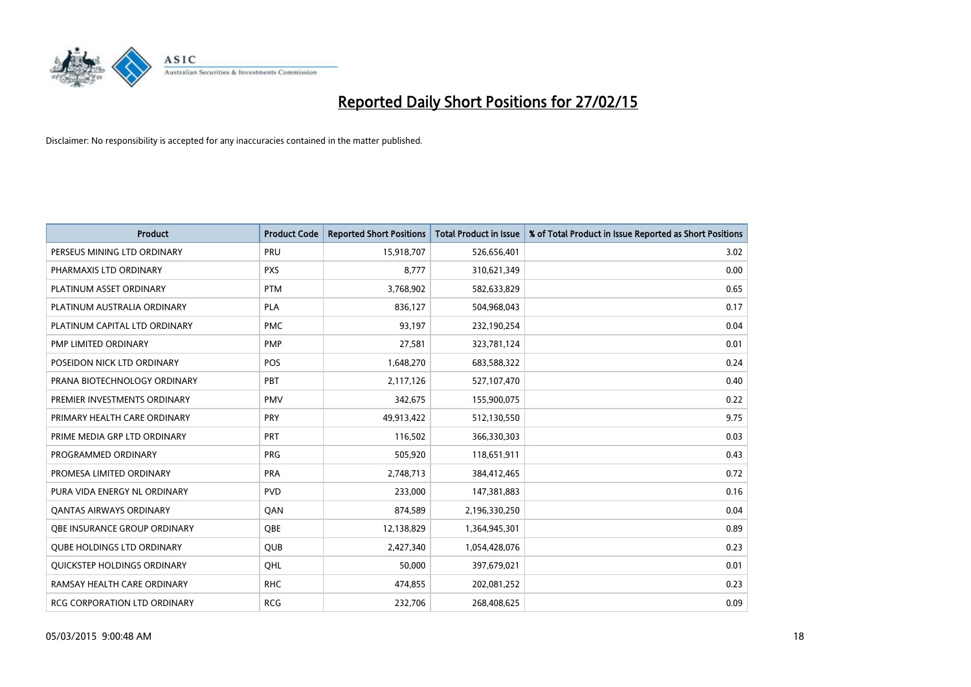

| <b>Product</b>                    | <b>Product Code</b> | <b>Reported Short Positions</b> | <b>Total Product in Issue</b> | % of Total Product in Issue Reported as Short Positions |
|-----------------------------------|---------------------|---------------------------------|-------------------------------|---------------------------------------------------------|
| PERSEUS MINING LTD ORDINARY       | PRU                 | 15,918,707                      | 526,656,401                   | 3.02                                                    |
| PHARMAXIS LTD ORDINARY            | <b>PXS</b>          | 8,777                           | 310,621,349                   | 0.00                                                    |
| PLATINUM ASSET ORDINARY           | <b>PTM</b>          | 3,768,902                       | 582,633,829                   | 0.65                                                    |
| PLATINUM AUSTRALIA ORDINARY       | <b>PLA</b>          | 836,127                         | 504,968,043                   | 0.17                                                    |
| PLATINUM CAPITAL LTD ORDINARY     | <b>PMC</b>          | 93,197                          | 232,190,254                   | 0.04                                                    |
| PMP LIMITED ORDINARY              | <b>PMP</b>          | 27,581                          | 323,781,124                   | 0.01                                                    |
| POSEIDON NICK LTD ORDINARY        | <b>POS</b>          | 1,648,270                       | 683,588,322                   | 0.24                                                    |
| PRANA BIOTECHNOLOGY ORDINARY      | PBT                 | 2,117,126                       | 527,107,470                   | 0.40                                                    |
| PREMIER INVESTMENTS ORDINARY      | <b>PMV</b>          | 342,675                         | 155,900,075                   | 0.22                                                    |
| PRIMARY HEALTH CARE ORDINARY      | <b>PRY</b>          | 49,913,422                      | 512,130,550                   | 9.75                                                    |
| PRIME MEDIA GRP LTD ORDINARY      | <b>PRT</b>          | 116,502                         | 366,330,303                   | 0.03                                                    |
| PROGRAMMED ORDINARY               | <b>PRG</b>          | 505,920                         | 118,651,911                   | 0.43                                                    |
| PROMESA LIMITED ORDINARY          | <b>PRA</b>          | 2,748,713                       | 384,412,465                   | 0.72                                                    |
| PURA VIDA ENERGY NL ORDINARY      | <b>PVD</b>          | 233,000                         | 147,381,883                   | 0.16                                                    |
| QANTAS AIRWAYS ORDINARY           | QAN                 | 874,589                         | 2,196,330,250                 | 0.04                                                    |
| OBE INSURANCE GROUP ORDINARY      | <b>OBE</b>          | 12,138,829                      | 1,364,945,301                 | 0.89                                                    |
| <b>QUBE HOLDINGS LTD ORDINARY</b> | QUB                 | 2,427,340                       | 1,054,428,076                 | 0.23                                                    |
| QUICKSTEP HOLDINGS ORDINARY       | OHL                 | 50.000                          | 397,679,021                   | 0.01                                                    |
| RAMSAY HEALTH CARE ORDINARY       | <b>RHC</b>          | 474,855                         | 202,081,252                   | 0.23                                                    |
| RCG CORPORATION LTD ORDINARY      | <b>RCG</b>          | 232,706                         | 268,408,625                   | 0.09                                                    |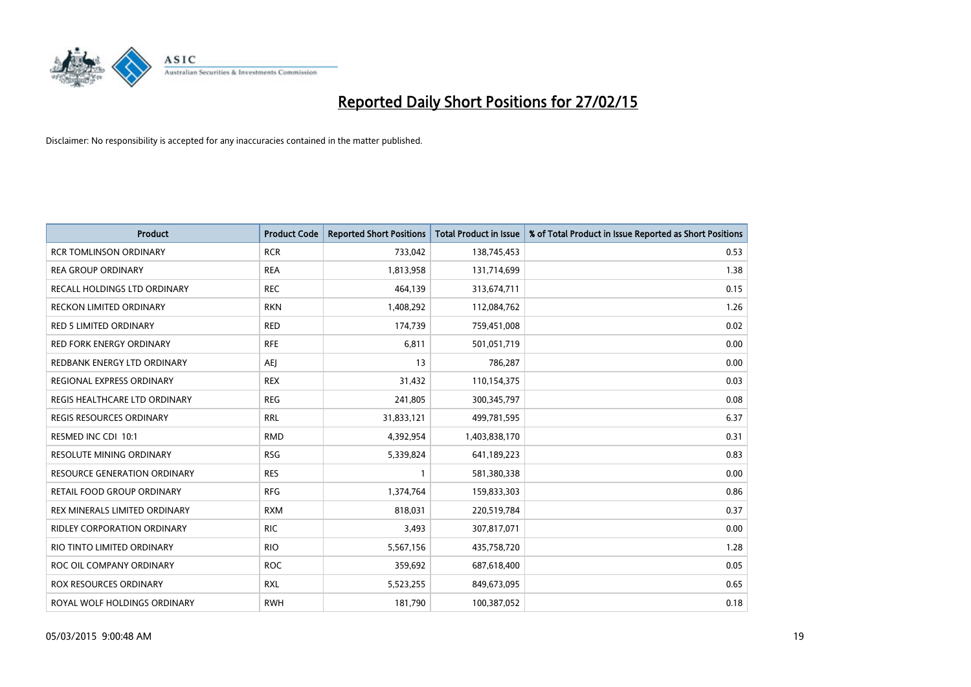

| <b>Product</b>                      | <b>Product Code</b> | <b>Reported Short Positions</b> | <b>Total Product in Issue</b> | % of Total Product in Issue Reported as Short Positions |
|-------------------------------------|---------------------|---------------------------------|-------------------------------|---------------------------------------------------------|
| <b>RCR TOMLINSON ORDINARY</b>       | <b>RCR</b>          | 733,042                         | 138,745,453                   | 0.53                                                    |
| <b>REA GROUP ORDINARY</b>           | <b>REA</b>          | 1,813,958                       | 131,714,699                   | 1.38                                                    |
| RECALL HOLDINGS LTD ORDINARY        | <b>REC</b>          | 464,139                         | 313,674,711                   | 0.15                                                    |
| <b>RECKON LIMITED ORDINARY</b>      | <b>RKN</b>          | 1,408,292                       | 112,084,762                   | 1.26                                                    |
| <b>RED 5 LIMITED ORDINARY</b>       | <b>RED</b>          | 174,739                         | 759,451,008                   | 0.02                                                    |
| <b>RED FORK ENERGY ORDINARY</b>     | <b>RFE</b>          | 6,811                           | 501,051,719                   | 0.00                                                    |
| REDBANK ENERGY LTD ORDINARY         | <b>AEJ</b>          | 13                              | 786,287                       | 0.00                                                    |
| REGIONAL EXPRESS ORDINARY           | <b>REX</b>          | 31,432                          | 110,154,375                   | 0.03                                                    |
| REGIS HEALTHCARE LTD ORDINARY       | <b>REG</b>          | 241,805                         | 300, 345, 797                 | 0.08                                                    |
| <b>REGIS RESOURCES ORDINARY</b>     | <b>RRL</b>          | 31,833,121                      | 499,781,595                   | 6.37                                                    |
| RESMED INC CDI 10:1                 | <b>RMD</b>          | 4,392,954                       | 1,403,838,170                 | 0.31                                                    |
| RESOLUTE MINING ORDINARY            | <b>RSG</b>          | 5,339,824                       | 641,189,223                   | 0.83                                                    |
| <b>RESOURCE GENERATION ORDINARY</b> | <b>RES</b>          | $\mathbf{1}$                    | 581,380,338                   | 0.00                                                    |
| RETAIL FOOD GROUP ORDINARY          | <b>RFG</b>          | 1,374,764                       | 159,833,303                   | 0.86                                                    |
| REX MINERALS LIMITED ORDINARY       | <b>RXM</b>          | 818,031                         | 220,519,784                   | 0.37                                                    |
| RIDLEY CORPORATION ORDINARY         | <b>RIC</b>          | 3,493                           | 307,817,071                   | 0.00                                                    |
| RIO TINTO LIMITED ORDINARY          | <b>RIO</b>          | 5,567,156                       | 435,758,720                   | 1.28                                                    |
| ROC OIL COMPANY ORDINARY            | <b>ROC</b>          | 359,692                         | 687,618,400                   | 0.05                                                    |
| ROX RESOURCES ORDINARY              | <b>RXL</b>          | 5,523,255                       | 849,673,095                   | 0.65                                                    |
| ROYAL WOLF HOLDINGS ORDINARY        | <b>RWH</b>          | 181,790                         | 100,387,052                   | 0.18                                                    |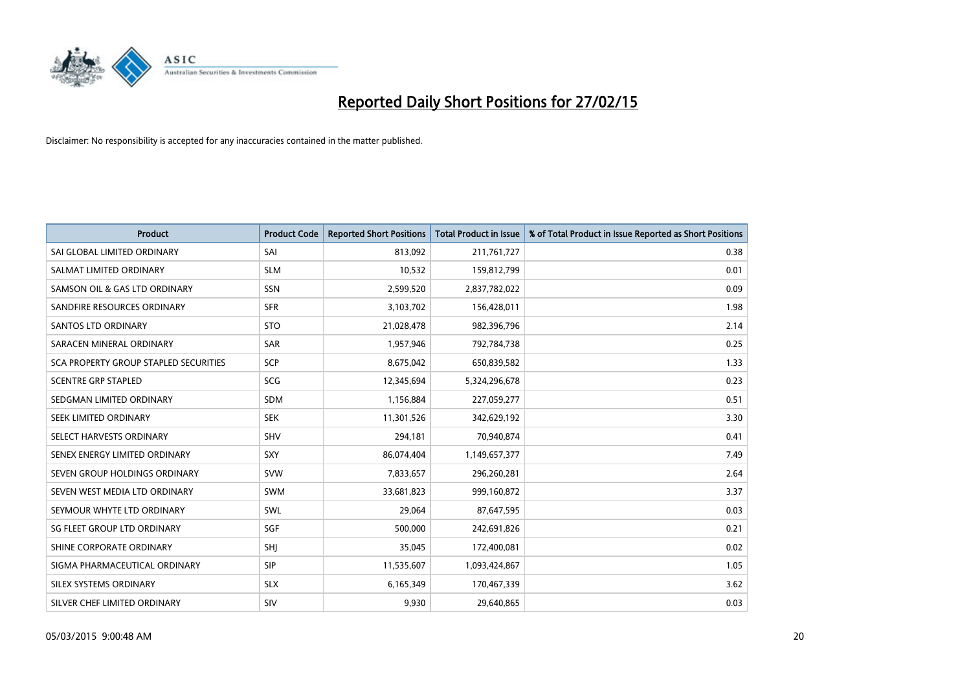

| <b>Product</b>                        | <b>Product Code</b> | <b>Reported Short Positions</b> | <b>Total Product in Issue</b> | % of Total Product in Issue Reported as Short Positions |
|---------------------------------------|---------------------|---------------------------------|-------------------------------|---------------------------------------------------------|
| SAI GLOBAL LIMITED ORDINARY           | SAI                 | 813,092                         | 211,761,727                   | 0.38                                                    |
| SALMAT LIMITED ORDINARY               | <b>SLM</b>          | 10,532                          | 159,812,799                   | 0.01                                                    |
| SAMSON OIL & GAS LTD ORDINARY         | SSN                 | 2,599,520                       | 2,837,782,022                 | 0.09                                                    |
| SANDFIRE RESOURCES ORDINARY           | <b>SFR</b>          | 3,103,702                       | 156,428,011                   | 1.98                                                    |
| SANTOS LTD ORDINARY                   | <b>STO</b>          | 21,028,478                      | 982,396,796                   | 2.14                                                    |
| SARACEN MINERAL ORDINARY              | SAR                 | 1,957,946                       | 792,784,738                   | 0.25                                                    |
| SCA PROPERTY GROUP STAPLED SECURITIES | <b>SCP</b>          | 8,675,042                       | 650,839,582                   | 1.33                                                    |
| <b>SCENTRE GRP STAPLED</b>            | SCG                 | 12,345,694                      | 5,324,296,678                 | 0.23                                                    |
| SEDGMAN LIMITED ORDINARY              | <b>SDM</b>          | 1,156,884                       | 227,059,277                   | 0.51                                                    |
| SEEK LIMITED ORDINARY                 | <b>SEK</b>          | 11,301,526                      | 342,629,192                   | 3.30                                                    |
| SELECT HARVESTS ORDINARY              | SHV                 | 294,181                         | 70,940,874                    | 0.41                                                    |
| SENEX ENERGY LIMITED ORDINARY         | <b>SXY</b>          | 86,074,404                      | 1,149,657,377                 | 7.49                                                    |
| SEVEN GROUP HOLDINGS ORDINARY         | <b>SVW</b>          | 7,833,657                       | 296,260,281                   | 2.64                                                    |
| SEVEN WEST MEDIA LTD ORDINARY         | SWM                 | 33,681,823                      | 999,160,872                   | 3.37                                                    |
| SEYMOUR WHYTE LTD ORDINARY            | SWL                 | 29,064                          | 87,647,595                    | 0.03                                                    |
| SG FLEET GROUP LTD ORDINARY           | SGF                 | 500,000                         | 242,691,826                   | 0.21                                                    |
| SHINE CORPORATE ORDINARY              | SHJ                 | 35,045                          | 172,400,081                   | 0.02                                                    |
| SIGMA PHARMACEUTICAL ORDINARY         | <b>SIP</b>          | 11,535,607                      | 1,093,424,867                 | 1.05                                                    |
| SILEX SYSTEMS ORDINARY                | <b>SLX</b>          | 6,165,349                       | 170,467,339                   | 3.62                                                    |
| SILVER CHEF LIMITED ORDINARY          | SIV                 | 9,930                           | 29,640,865                    | 0.03                                                    |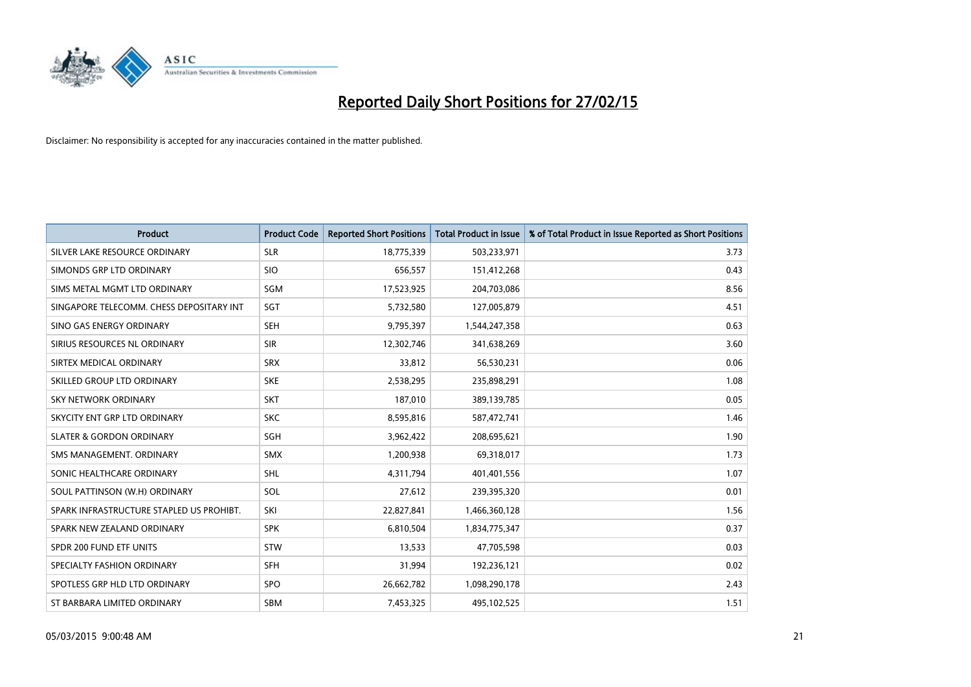

| <b>Product</b>                           | <b>Product Code</b> | <b>Reported Short Positions</b> | <b>Total Product in Issue</b> | % of Total Product in Issue Reported as Short Positions |
|------------------------------------------|---------------------|---------------------------------|-------------------------------|---------------------------------------------------------|
| SILVER LAKE RESOURCE ORDINARY            | <b>SLR</b>          | 18,775,339                      | 503,233,971                   | 3.73                                                    |
| SIMONDS GRP LTD ORDINARY                 | <b>SIO</b>          | 656,557                         | 151,412,268                   | 0.43                                                    |
| SIMS METAL MGMT LTD ORDINARY             | SGM                 | 17,523,925                      | 204,703,086                   | 8.56                                                    |
| SINGAPORE TELECOMM. CHESS DEPOSITARY INT | SGT                 | 5,732,580                       | 127,005,879                   | 4.51                                                    |
| SINO GAS ENERGY ORDINARY                 | <b>SEH</b>          | 9,795,397                       | 1,544,247,358                 | 0.63                                                    |
| SIRIUS RESOURCES NL ORDINARY             | <b>SIR</b>          | 12,302,746                      | 341,638,269                   | 3.60                                                    |
| SIRTEX MEDICAL ORDINARY                  | <b>SRX</b>          | 33,812                          | 56,530,231                    | 0.06                                                    |
| SKILLED GROUP LTD ORDINARY               | <b>SKE</b>          | 2,538,295                       | 235,898,291                   | 1.08                                                    |
| <b>SKY NETWORK ORDINARY</b>              | <b>SKT</b>          | 187,010                         | 389,139,785                   | 0.05                                                    |
| SKYCITY ENT GRP LTD ORDINARY             | <b>SKC</b>          | 8,595,816                       | 587,472,741                   | 1.46                                                    |
| <b>SLATER &amp; GORDON ORDINARY</b>      | SGH                 | 3,962,422                       | 208,695,621                   | 1.90                                                    |
| SMS MANAGEMENT, ORDINARY                 | <b>SMX</b>          | 1,200,938                       | 69,318,017                    | 1.73                                                    |
| SONIC HEALTHCARE ORDINARY                | SHL                 | 4,311,794                       | 401,401,556                   | 1.07                                                    |
| SOUL PATTINSON (W.H) ORDINARY            | SOL                 | 27,612                          | 239,395,320                   | 0.01                                                    |
| SPARK INFRASTRUCTURE STAPLED US PROHIBT. | SKI                 | 22,827,841                      | 1,466,360,128                 | 1.56                                                    |
| SPARK NEW ZEALAND ORDINARY               | <b>SPK</b>          | 6,810,504                       | 1,834,775,347                 | 0.37                                                    |
| SPDR 200 FUND ETF UNITS                  | <b>STW</b>          | 13,533                          | 47,705,598                    | 0.03                                                    |
| SPECIALTY FASHION ORDINARY               | <b>SFH</b>          | 31,994                          | 192,236,121                   | 0.02                                                    |
| SPOTLESS GRP HLD LTD ORDINARY            | <b>SPO</b>          | 26,662,782                      | 1,098,290,178                 | 2.43                                                    |
| ST BARBARA LIMITED ORDINARY              | <b>SBM</b>          | 7,453,325                       | 495,102,525                   | 1.51                                                    |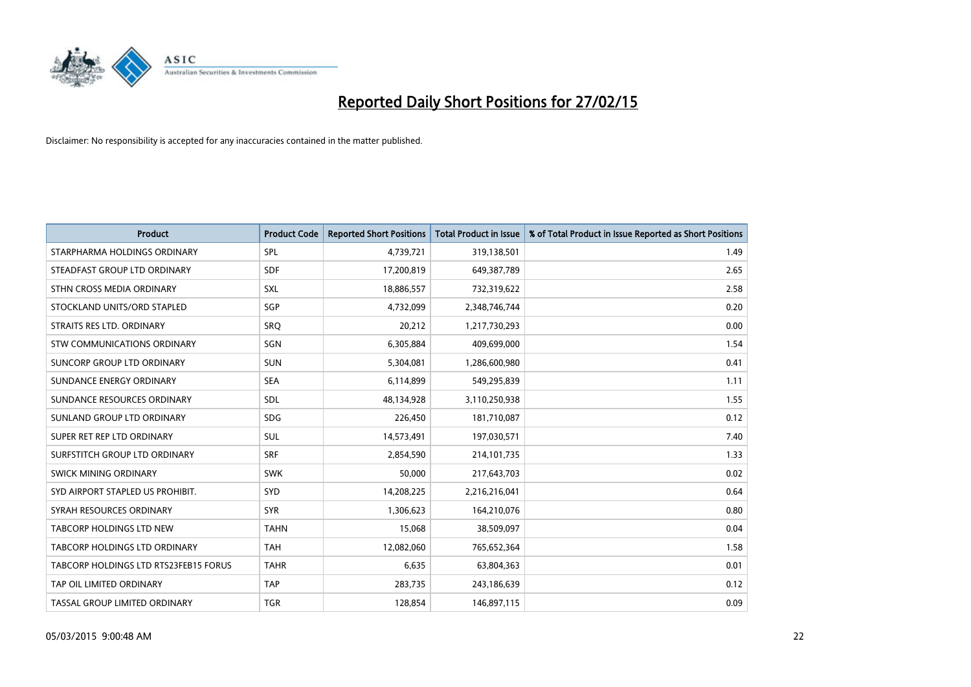

| <b>Product</b>                        | <b>Product Code</b> | <b>Reported Short Positions</b> | <b>Total Product in Issue</b> | % of Total Product in Issue Reported as Short Positions |
|---------------------------------------|---------------------|---------------------------------|-------------------------------|---------------------------------------------------------|
| STARPHARMA HOLDINGS ORDINARY          | SPL                 | 4,739,721                       | 319,138,501                   | 1.49                                                    |
| STEADFAST GROUP LTD ORDINARY          | <b>SDF</b>          | 17,200,819                      | 649,387,789                   | 2.65                                                    |
| STHN CROSS MEDIA ORDINARY             | <b>SXL</b>          | 18,886,557                      | 732,319,622                   | 2.58                                                    |
| STOCKLAND UNITS/ORD STAPLED           | <b>SGP</b>          | 4,732,099                       | 2,348,746,744                 | 0.20                                                    |
| STRAITS RES LTD. ORDINARY             | SRO                 | 20,212                          | 1,217,730,293                 | 0.00                                                    |
| <b>STW COMMUNICATIONS ORDINARY</b>    | SGN                 | 6,305,884                       | 409,699,000                   | 1.54                                                    |
| SUNCORP GROUP LTD ORDINARY            | <b>SUN</b>          | 5,304,081                       | 1,286,600,980                 | 0.41                                                    |
| SUNDANCE ENERGY ORDINARY              | <b>SEA</b>          | 6,114,899                       | 549,295,839                   | 1.11                                                    |
| SUNDANCE RESOURCES ORDINARY           | SDL                 | 48,134,928                      | 3,110,250,938                 | 1.55                                                    |
| SUNLAND GROUP LTD ORDINARY            | <b>SDG</b>          | 226,450                         | 181,710,087                   | 0.12                                                    |
| SUPER RET REP LTD ORDINARY            | SUL                 | 14,573,491                      | 197,030,571                   | 7.40                                                    |
| SURFSTITCH GROUP LTD ORDINARY         | <b>SRF</b>          | 2,854,590                       | 214,101,735                   | 1.33                                                    |
| SWICK MINING ORDINARY                 | <b>SWK</b>          | 50,000                          | 217,643,703                   | 0.02                                                    |
| SYD AIRPORT STAPLED US PROHIBIT.      | <b>SYD</b>          | 14,208,225                      | 2,216,216,041                 | 0.64                                                    |
| SYRAH RESOURCES ORDINARY              | <b>SYR</b>          | 1,306,623                       | 164,210,076                   | 0.80                                                    |
| TABCORP HOLDINGS LTD NEW              | <b>TAHN</b>         | 15,068                          | 38,509,097                    | 0.04                                                    |
| TABCORP HOLDINGS LTD ORDINARY         | <b>TAH</b>          | 12,082,060                      | 765,652,364                   | 1.58                                                    |
| TABCORP HOLDINGS LTD RTS23FEB15 FORUS | <b>TAHR</b>         | 6,635                           | 63,804,363                    | 0.01                                                    |
| TAP OIL LIMITED ORDINARY              | <b>TAP</b>          | 283,735                         | 243,186,639                   | 0.12                                                    |
| TASSAL GROUP LIMITED ORDINARY         | <b>TGR</b>          | 128,854                         | 146,897,115                   | 0.09                                                    |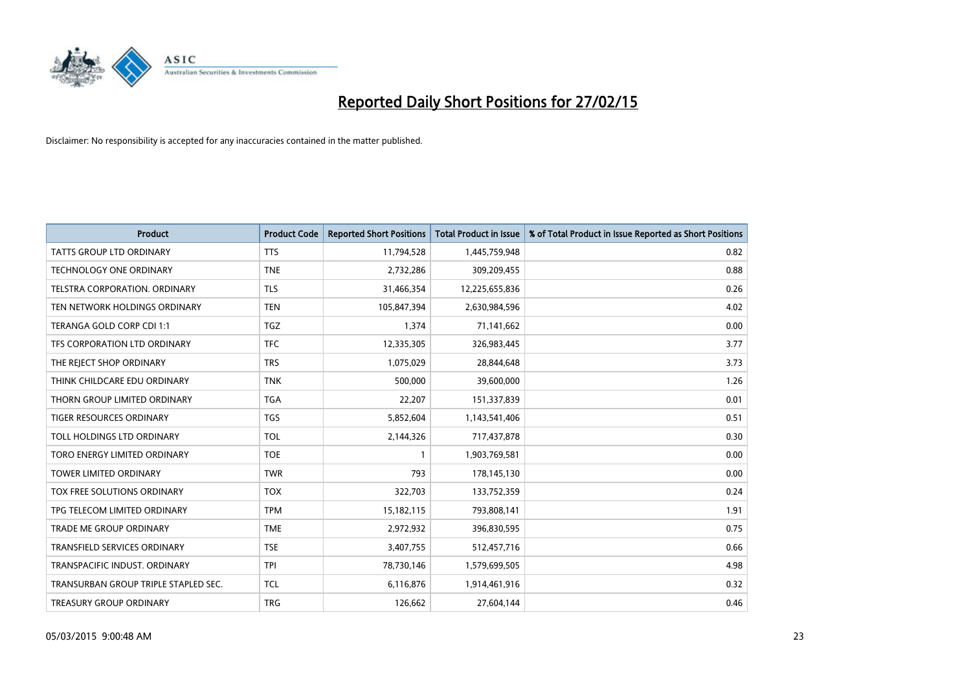

| <b>Product</b>                       | <b>Product Code</b> | <b>Reported Short Positions</b> | <b>Total Product in Issue</b> | % of Total Product in Issue Reported as Short Positions |
|--------------------------------------|---------------------|---------------------------------|-------------------------------|---------------------------------------------------------|
| <b>TATTS GROUP LTD ORDINARY</b>      | <b>TTS</b>          | 11,794,528                      | 1,445,759,948                 | 0.82                                                    |
| TECHNOLOGY ONE ORDINARY              | <b>TNE</b>          | 2,732,286                       | 309,209,455                   | 0.88                                                    |
| TELSTRA CORPORATION. ORDINARY        | <b>TLS</b>          | 31,466,354                      | 12,225,655,836                | 0.26                                                    |
| TEN NETWORK HOLDINGS ORDINARY        | <b>TEN</b>          | 105,847,394                     | 2,630,984,596                 | 4.02                                                    |
| TERANGA GOLD CORP CDI 1:1            | <b>TGZ</b>          | 1,374                           | 71,141,662                    | 0.00                                                    |
| TFS CORPORATION LTD ORDINARY         | <b>TFC</b>          | 12,335,305                      | 326,983,445                   | 3.77                                                    |
| THE REJECT SHOP ORDINARY             | <b>TRS</b>          | 1,075,029                       | 28,844,648                    | 3.73                                                    |
| THINK CHILDCARE EDU ORDINARY         | <b>TNK</b>          | 500,000                         | 39,600,000                    | 1.26                                                    |
| THORN GROUP LIMITED ORDINARY         | <b>TGA</b>          | 22,207                          | 151,337,839                   | 0.01                                                    |
| <b>TIGER RESOURCES ORDINARY</b>      | <b>TGS</b>          | 5,852,604                       | 1,143,541,406                 | 0.51                                                    |
| TOLL HOLDINGS LTD ORDINARY           | <b>TOL</b>          | 2,144,326                       | 717,437,878                   | 0.30                                                    |
| TORO ENERGY LIMITED ORDINARY         | <b>TOE</b>          | $\mathbf{1}$                    | 1,903,769,581                 | 0.00                                                    |
| <b>TOWER LIMITED ORDINARY</b>        | <b>TWR</b>          | 793                             | 178,145,130                   | 0.00                                                    |
| TOX FREE SOLUTIONS ORDINARY          | <b>TOX</b>          | 322,703                         | 133,752,359                   | 0.24                                                    |
| TPG TELECOM LIMITED ORDINARY         | <b>TPM</b>          | 15,182,115                      | 793,808,141                   | 1.91                                                    |
| TRADE ME GROUP ORDINARY              | <b>TME</b>          | 2,972,932                       | 396,830,595                   | 0.75                                                    |
| TRANSFIELD SERVICES ORDINARY         | <b>TSE</b>          | 3,407,755                       | 512,457,716                   | 0.66                                                    |
| TRANSPACIFIC INDUST. ORDINARY        | <b>TPI</b>          | 78,730,146                      | 1,579,699,505                 | 4.98                                                    |
| TRANSURBAN GROUP TRIPLE STAPLED SEC. | <b>TCL</b>          | 6,116,876                       | 1,914,461,916                 | 0.32                                                    |
| TREASURY GROUP ORDINARY              | <b>TRG</b>          | 126,662                         | 27,604,144                    | 0.46                                                    |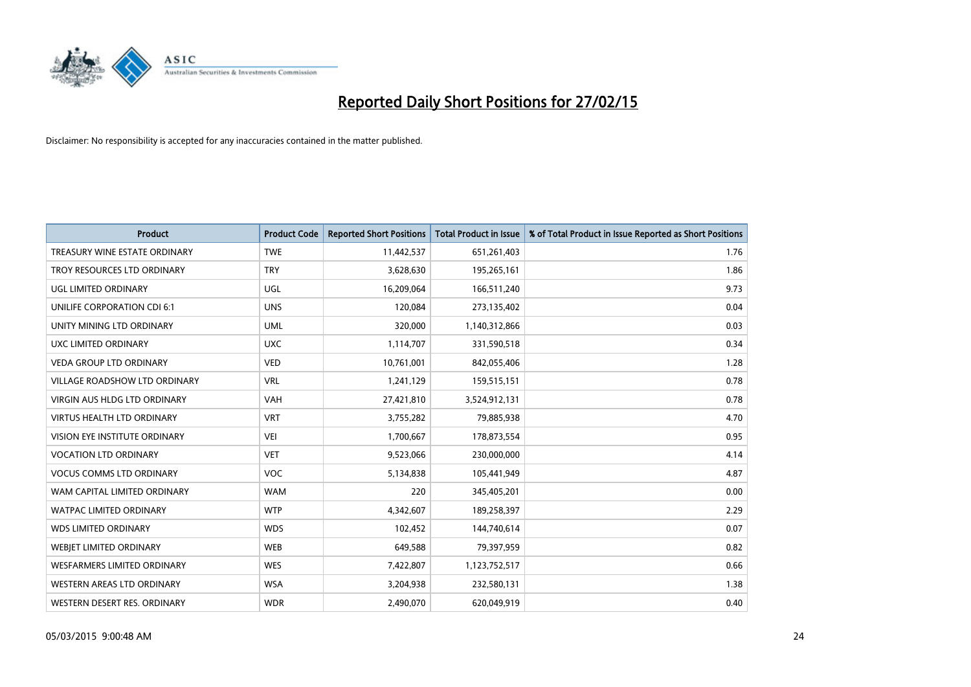

| <b>Product</b>                     | <b>Product Code</b> | <b>Reported Short Positions</b> | <b>Total Product in Issue</b> | % of Total Product in Issue Reported as Short Positions |
|------------------------------------|---------------------|---------------------------------|-------------------------------|---------------------------------------------------------|
| TREASURY WINE ESTATE ORDINARY      | <b>TWE</b>          | 11,442,537                      | 651,261,403                   | 1.76                                                    |
| TROY RESOURCES LTD ORDINARY        | <b>TRY</b>          | 3,628,630                       | 195,265,161                   | 1.86                                                    |
| UGL LIMITED ORDINARY               | UGL                 | 16,209,064                      | 166,511,240                   | 9.73                                                    |
| UNILIFE CORPORATION CDI 6:1        | <b>UNS</b>          | 120,084                         | 273,135,402                   | 0.04                                                    |
| UNITY MINING LTD ORDINARY          | <b>UML</b>          | 320,000                         | 1,140,312,866                 | 0.03                                                    |
| UXC LIMITED ORDINARY               | <b>UXC</b>          | 1,114,707                       | 331,590,518                   | 0.34                                                    |
| <b>VEDA GROUP LTD ORDINARY</b>     | <b>VED</b>          | 10,761,001                      | 842,055,406                   | 1.28                                                    |
| VILLAGE ROADSHOW LTD ORDINARY      | <b>VRL</b>          | 1,241,129                       | 159,515,151                   | 0.78                                                    |
| VIRGIN AUS HLDG LTD ORDINARY       | <b>VAH</b>          | 27,421,810                      | 3,524,912,131                 | 0.78                                                    |
| <b>VIRTUS HEALTH LTD ORDINARY</b>  | <b>VRT</b>          | 3,755,282                       | 79,885,938                    | 4.70                                                    |
| VISION EYE INSTITUTE ORDINARY      | <b>VEI</b>          | 1,700,667                       | 178,873,554                   | 0.95                                                    |
| <b>VOCATION LTD ORDINARY</b>       | <b>VET</b>          | 9,523,066                       | 230,000,000                   | 4.14                                                    |
| <b>VOCUS COMMS LTD ORDINARY</b>    | <b>VOC</b>          | 5,134,838                       | 105,441,949                   | 4.87                                                    |
| WAM CAPITAL LIMITED ORDINARY       | <b>WAM</b>          | 220                             | 345,405,201                   | 0.00                                                    |
| <b>WATPAC LIMITED ORDINARY</b>     | <b>WTP</b>          | 4,342,607                       | 189,258,397                   | 2.29                                                    |
| <b>WDS LIMITED ORDINARY</b>        | <b>WDS</b>          | 102,452                         | 144,740,614                   | 0.07                                                    |
| WEBJET LIMITED ORDINARY            | <b>WEB</b>          | 649,588                         | 79,397,959                    | 0.82                                                    |
| <b>WESFARMERS LIMITED ORDINARY</b> | <b>WES</b>          | 7,422,807                       | 1,123,752,517                 | 0.66                                                    |
| WESTERN AREAS LTD ORDINARY         | <b>WSA</b>          | 3,204,938                       | 232,580,131                   | 1.38                                                    |
| WESTERN DESERT RES. ORDINARY       | <b>WDR</b>          | 2,490,070                       | 620,049,919                   | 0.40                                                    |